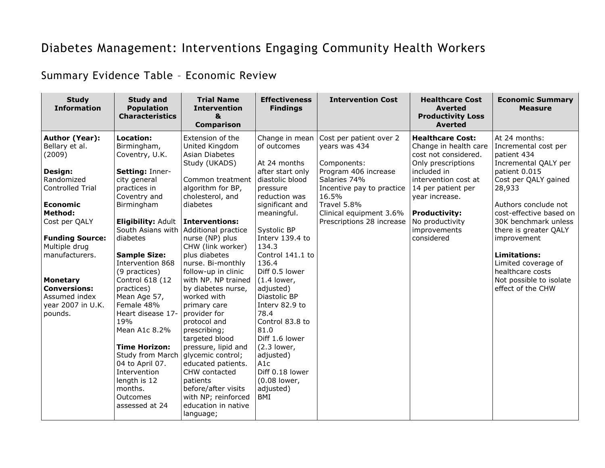## Diabetes Management: Interventions Engaging Community Health Workers

Summary Evidence Table – Economic Review

| <b>Study</b><br><b>Information</b>                                                                                                                                                                                                                                                                    | <b>Study and</b><br><b>Population</b><br><b>Characteristics</b>                                                                                                                                                                                                                                                                                                                                                                                                                                | <b>Trial Name</b><br><b>Intervention</b><br>&<br><b>Comparison</b>                                                                                                                                                                                                                                                                                                                                                                                                                                                                                                                                    | <b>Effectiveness</b><br><b>Findings</b>                                                                                                                                                                                                                                                                                                                                                                                                                        | <b>Intervention Cost</b>                                                                                                                                                                                     | <b>Healthcare Cost</b><br><b>Averted</b><br><b>Productivity Loss</b><br><b>Averted</b>                                                                                                                                                                 | <b>Economic Summary</b><br><b>Measure</b>                                                                                                                                                                                                                                                                                                                            |
|-------------------------------------------------------------------------------------------------------------------------------------------------------------------------------------------------------------------------------------------------------------------------------------------------------|------------------------------------------------------------------------------------------------------------------------------------------------------------------------------------------------------------------------------------------------------------------------------------------------------------------------------------------------------------------------------------------------------------------------------------------------------------------------------------------------|-------------------------------------------------------------------------------------------------------------------------------------------------------------------------------------------------------------------------------------------------------------------------------------------------------------------------------------------------------------------------------------------------------------------------------------------------------------------------------------------------------------------------------------------------------------------------------------------------------|----------------------------------------------------------------------------------------------------------------------------------------------------------------------------------------------------------------------------------------------------------------------------------------------------------------------------------------------------------------------------------------------------------------------------------------------------------------|--------------------------------------------------------------------------------------------------------------------------------------------------------------------------------------------------------------|--------------------------------------------------------------------------------------------------------------------------------------------------------------------------------------------------------------------------------------------------------|----------------------------------------------------------------------------------------------------------------------------------------------------------------------------------------------------------------------------------------------------------------------------------------------------------------------------------------------------------------------|
| Author (Year):<br>Bellary et al.<br>(2009)<br>Design:<br>Randomized<br>Controlled Trial<br><b>Economic</b><br><b>Method:</b><br>Cost per QALY<br><b>Funding Source:</b><br>Multiple drug<br>manufacturers.<br><b>Monetary</b><br><b>Conversions:</b><br>Assumed index<br>year 2007 in U.K.<br>pounds. | Location:<br>Birmingham,<br>Coventry, U.K.<br>Setting: Inner-<br>city general<br>practices in<br>Coventry and<br>Birmingham<br><b>Eligibility: Adult</b><br>South Asians with<br>diabetes<br><b>Sample Size:</b><br>Intervention 868<br>(9 practices)<br>Control 618 (12<br>practices)<br>Mean Age 57,<br>Female 48%<br>Heart disease 17-<br>19%<br>Mean A1c 8.2%<br><b>Time Horizon:</b><br><b>Study from March</b><br>04 to April 07.<br>Intervention<br>length is 12<br>months.<br>Outcomes | Extension of the<br>United Kingdom<br><b>Asian Diabetes</b><br>Study (UKADS)<br>Common treatment<br>algorithm for BP,<br>cholesterol, and<br>diabetes<br><b>Interventions:</b><br>Additional practice<br>nurse (NP) plus<br>CHW (link worker)<br>plus diabetes<br>nurse. Bi-monthly<br>follow-up in clinic<br>with NP. NP trained<br>by diabetes nurse,<br>worked with<br>primary care<br>provider for<br>protocol and<br>prescribing;<br>targeted blood<br>pressure, lipid and<br>glycemic control;<br>educated patients.<br>CHW contacted<br>patients<br>before/after visits<br>with NP; reinforced | Change in mean<br>of outcomes<br>At 24 months<br>after start only<br>diastolic blood<br>pressure<br>reduction was<br>significant and<br>meaningful.<br>Systolic BP<br>Interv 139.4 to<br>134.3<br>Control 141.1 to<br>136.4<br>Diff 0.5 lower<br>$(1.4$ lower,<br>adjusted)<br>Diastolic BP<br>Interv 82.9 to<br>78.4<br>Control 83.8 to<br>81.0<br>Diff 1.6 lower<br>$(2.3$ lower,<br>adjusted)<br>A1c<br>Diff 0.18 lower<br>(0.08 lower,<br>adjusted)<br>BMI | Cost per patient over 2<br>years was 434<br>Components:<br>Program 406 increase<br>Salaries 74%<br>Incentive pay to practice<br>16.5%<br>Travel 5.8%<br>Clinical equipment 3.6%<br>Prescriptions 28 increase | <b>Healthcare Cost:</b><br>Change in health care<br>cost not considered.<br>Only prescriptions<br>included in<br>intervention cost at<br>14 per patient per<br>year increase.<br><b>Productivity:</b><br>No productivity<br>improvements<br>considered | At 24 months:<br>Incremental cost per<br>patient 434<br>Incremental QALY per<br>patient 0.015<br>Cost per QALY gained<br>28,933<br>Authors conclude not<br>cost-effective based on<br>30K benchmark unless<br>there is greater QALY<br>improvement<br><b>Limitations:</b><br>Limited coverage of<br>healthcare costs<br>Not possible to isolate<br>effect of the CHW |
|                                                                                                                                                                                                                                                                                                       | assessed at 24                                                                                                                                                                                                                                                                                                                                                                                                                                                                                 | education in native<br>language;                                                                                                                                                                                                                                                                                                                                                                                                                                                                                                                                                                      |                                                                                                                                                                                                                                                                                                                                                                                                                                                                |                                                                                                                                                                                                              |                                                                                                                                                                                                                                                        |                                                                                                                                                                                                                                                                                                                                                                      |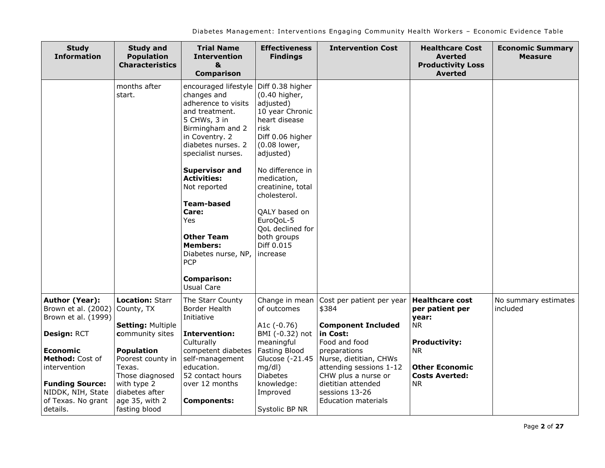| <b>Study</b><br><b>Information</b>                                            | <b>Study and</b><br><b>Population</b><br><b>Characteristics</b>  | <b>Trial Name</b><br><b>Intervention</b><br>&<br><b>Comparison</b>                                                                                                                                                                                                                                                                                                                                                | <b>Effectiveness</b><br><b>Findings</b>                                                                                                                                                                                                                                                                        | <b>Intervention Cost</b>                                                 | <b>Healthcare Cost</b><br><b>Averted</b><br><b>Productivity Loss</b><br>Averted | <b>Economic Summary</b><br><b>Measure</b> |
|-------------------------------------------------------------------------------|------------------------------------------------------------------|-------------------------------------------------------------------------------------------------------------------------------------------------------------------------------------------------------------------------------------------------------------------------------------------------------------------------------------------------------------------------------------------------------------------|----------------------------------------------------------------------------------------------------------------------------------------------------------------------------------------------------------------------------------------------------------------------------------------------------------------|--------------------------------------------------------------------------|---------------------------------------------------------------------------------|-------------------------------------------|
|                                                                               | months after<br>start.                                           | encouraged lifestyle<br>changes and<br>adherence to visits<br>and treatment.<br>5 CHWs, 3 in<br>Birmingham and 2<br>in Coventry. 2<br>diabetes nurses. 2<br>specialist nurses.<br><b>Supervisor and</b><br><b>Activities:</b><br>Not reported<br><b>Team-based</b><br>Care:<br><b>Yes</b><br><b>Other Team</b><br><b>Members:</b><br>Diabetes nurse, NP,<br><b>PCP</b><br><b>Comparison:</b><br><b>Usual Care</b> | Diff 0.38 higher<br>(0.40 higher,<br>adjusted)<br>10 year Chronic<br>heart disease<br>risk<br>Diff 0.06 higher<br>(0.08 lower,<br>adjusted)<br>No difference in<br>medication,<br>creatinine, total<br>cholesterol.<br>QALY based on<br>EuroQoL-5<br>QoL declined for<br>both groups<br>Diff 0.015<br>increase |                                                                          |                                                                                 |                                           |
| Author (Year):<br>Brown et al. (2002)<br>Brown et al. (1999)                  | <b>Location: Starr</b><br>County, TX<br><b>Setting: Multiple</b> | The Starr County<br>Border Health<br>Initiative                                                                                                                                                                                                                                                                                                                                                                   | Change in mean<br>of outcomes<br>A1c $(-0.76)$                                                                                                                                                                                                                                                                 | Cost per patient per year<br>\$384<br><b>Component Included</b>          | <b>Healthcare cost</b><br>per patient per<br>year:<br>NR.                       | No summary estimates<br>included          |
| Design: RCT                                                                   | community sites                                                  | <b>Intervention:</b><br>Culturally                                                                                                                                                                                                                                                                                                                                                                                | BMI (-0.32) not<br>meaningful                                                                                                                                                                                                                                                                                  | in Cost:<br>Food and food                                                | <b>Productivity:</b>                                                            |                                           |
| <b>Economic</b>                                                               | <b>Population</b>                                                | competent diabetes                                                                                                                                                                                                                                                                                                                                                                                                | <b>Fasting Blood</b>                                                                                                                                                                                                                                                                                           | preparations                                                             | NR.                                                                             |                                           |
| Method: Cost of<br>intervention                                               | Poorest county in<br>Texas.<br>Those diagnosed                   | self-management<br>education.<br>52 contact hours                                                                                                                                                                                                                                                                                                                                                                 | Glucose (-21.45<br>mq/dl)<br><b>Diabetes</b>                                                                                                                                                                                                                                                                   | Nurse, dietitian, CHWs<br>attending sessions 1-12<br>CHW plus a nurse or | <b>Other Economic</b><br><b>Costs Averted:</b>                                  |                                           |
| <b>Funding Source:</b><br>NIDDK, NIH, State<br>of Texas. No grant<br>details. | with type 2<br>diabetes after<br>age 35, with 2<br>fasting blood | over 12 months<br><b>Components:</b>                                                                                                                                                                                                                                                                                                                                                                              | knowledge:<br>Improved<br>Systolic BP NR                                                                                                                                                                                                                                                                       | dietitian attended<br>sessions 13-26<br><b>Education materials</b>       | NR.                                                                             |                                           |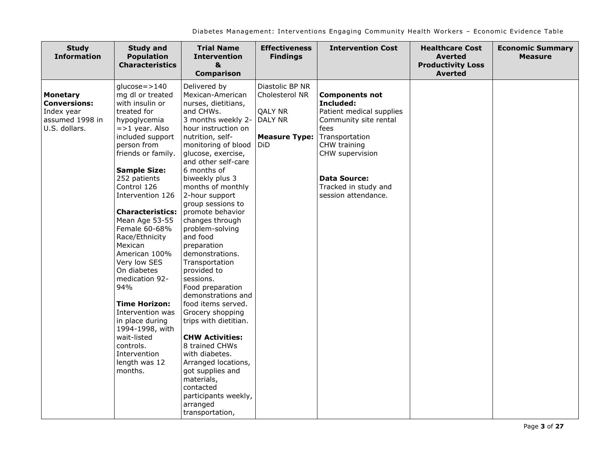| <b>Study</b><br><b>Information</b>                                                       | <b>Study and</b><br><b>Population</b><br><b>Characteristics</b>                                                                                                                                                                                                                                                                                                                                                                                                                                                                                                               | <b>Trial Name</b><br><b>Intervention</b><br>&<br><b>Comparison</b>                                                                                                                                                                                                                                                                                                                                                                                                                                                                                                                                                                                                                                                                                                    | <b>Effectiveness</b><br><b>Findings</b>                                                       | <b>Intervention Cost</b>                                                                                                                                                                                                   | <b>Healthcare Cost</b><br><b>Averted</b><br><b>Productivity Loss</b><br><b>Averted</b> | <b>Economic Summary</b><br><b>Measure</b> |
|------------------------------------------------------------------------------------------|-------------------------------------------------------------------------------------------------------------------------------------------------------------------------------------------------------------------------------------------------------------------------------------------------------------------------------------------------------------------------------------------------------------------------------------------------------------------------------------------------------------------------------------------------------------------------------|-----------------------------------------------------------------------------------------------------------------------------------------------------------------------------------------------------------------------------------------------------------------------------------------------------------------------------------------------------------------------------------------------------------------------------------------------------------------------------------------------------------------------------------------------------------------------------------------------------------------------------------------------------------------------------------------------------------------------------------------------------------------------|-----------------------------------------------------------------------------------------------|----------------------------------------------------------------------------------------------------------------------------------------------------------------------------------------------------------------------------|----------------------------------------------------------------------------------------|-------------------------------------------|
| <b>Monetary</b><br><b>Conversions:</b><br>Index year<br>assumed 1998 in<br>U.S. dollars. | $glucose = > 140$<br>mg dl or treated<br>with insulin or<br>treated for<br>hypoglycemia<br>$=$ >1 year. Also<br>included support<br>person from<br>friends or family.<br><b>Sample Size:</b><br>252 patients<br>Control 126<br>Intervention 126<br><b>Characteristics:</b><br>Mean Age 53-55<br>Female 60-68%<br>Race/Ethnicity<br>Mexican<br>American 100%<br>Very low SES<br>On diabetes<br>medication 92-<br>94%<br><b>Time Horizon:</b><br>Intervention was<br>in place during<br>1994-1998, with<br>wait-listed<br>controls.<br>Intervention<br>length was 12<br>months. | Delivered by<br>Mexican-American<br>nurses, dietitians,<br>and CHWs.<br>3 months weekly 2-<br>hour instruction on<br>nutrition, self-<br>monitoring of blood<br>glucose, exercise,<br>and other self-care<br>6 months of<br>biweekly plus 3<br>months of monthly<br>2-hour support<br>group sessions to<br>promote behavior<br>changes through<br>problem-solving<br>and food<br>preparation<br>demonstrations.<br>Transportation<br>provided to<br>sessions.<br>Food preparation<br>demonstrations and<br>food items served.<br>Grocery shopping<br>trips with dietitian.<br><b>CHW Activities:</b><br>8 trained CHWs<br>with diabetes.<br>Arranged locations,<br>got supplies and<br>materials,<br>contacted<br>participants weekly,<br>arranged<br>transportation, | Diastolic BP NR<br>Cholesterol NR<br><b>QALY NR</b><br>DALY NR<br><b>Measure Type:</b><br>DiD | <b>Components not</b><br>Included:<br>Patient medical supplies<br>Community site rental<br>fees<br>Transportation<br>CHW training<br>CHW supervision<br><b>Data Source:</b><br>Tracked in study and<br>session attendance. |                                                                                        |                                           |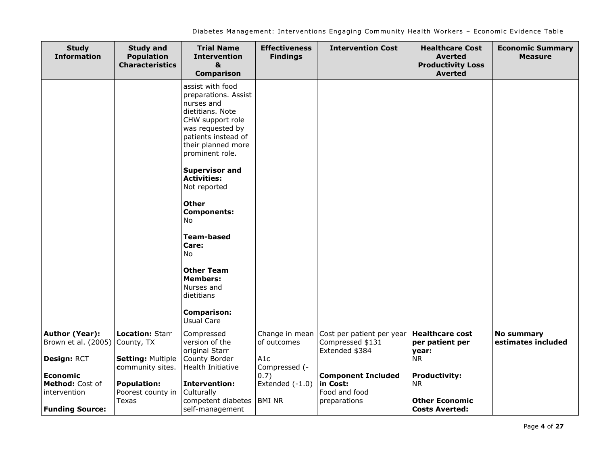| <b>Study</b><br><b>Information</b>                 | <b>Study and</b><br><b>Population</b><br><b>Characteristics</b> | <b>Trial Name</b><br><b>Intervention</b><br>&<br><b>Comparison</b>                                                                                                                                                                                                                                                                                                                                                          | <b>Effectiveness</b><br><b>Findings</b> | <b>Intervention Cost</b>                                               | <b>Healthcare Cost</b><br><b>Averted</b><br><b>Productivity Loss</b><br><b>Averted</b> | <b>Economic Summary</b><br><b>Measure</b> |
|----------------------------------------------------|-----------------------------------------------------------------|-----------------------------------------------------------------------------------------------------------------------------------------------------------------------------------------------------------------------------------------------------------------------------------------------------------------------------------------------------------------------------------------------------------------------------|-----------------------------------------|------------------------------------------------------------------------|----------------------------------------------------------------------------------------|-------------------------------------------|
|                                                    |                                                                 | assist with food<br>preparations. Assist<br>nurses and<br>dietitians. Note<br>CHW support role<br>was requested by<br>patients instead of<br>their planned more<br>prominent role.<br><b>Supervisor and</b><br><b>Activities:</b><br>Not reported<br><b>Other</b><br><b>Components:</b><br>No<br><b>Team-based</b><br>Care:<br>No<br><b>Other Team</b><br><b>Members:</b><br>Nurses and<br>dietitians<br><b>Comparison:</b> |                                         |                                                                        |                                                                                        |                                           |
|                                                    |                                                                 | <b>Usual Care</b>                                                                                                                                                                                                                                                                                                                                                                                                           |                                         |                                                                        |                                                                                        |                                           |
| Author (Year):<br>Brown et al. (2005)              | <b>Location: Starr</b><br>County, TX                            | Compressed<br>version of the<br>original Starr                                                                                                                                                                                                                                                                                                                                                                              | Change in mean<br>of outcomes           | Cost per patient per year<br>Compressed \$131<br>Extended \$384        | <b>Healthcare cost</b><br>per patient per<br>year:                                     | <b>No summary</b><br>estimates included   |
| Design: RCT                                        | <b>Setting: Multiple</b><br>community sites.                    | County Border<br>Health Initiative                                                                                                                                                                                                                                                                                                                                                                                          | A1c<br>Compressed (-                    |                                                                        | <b>NR</b>                                                                              |                                           |
| <b>Economic</b><br>Method: Cost of<br>intervention | <b>Population:</b><br>Poorest county in<br>Texas                | <b>Intervention:</b><br>Culturally<br>competent diabetes                                                                                                                                                                                                                                                                                                                                                                    | 0.7)<br>Extended $(-1.0)$<br>BMI NR     | <b>Component Included</b><br>in Cost:<br>Food and food<br>preparations | <b>Productivity:</b><br><b>NR</b><br><b>Other Economic</b>                             |                                           |
| <b>Funding Source:</b>                             |                                                                 | self-management                                                                                                                                                                                                                                                                                                                                                                                                             |                                         |                                                                        | <b>Costs Averted:</b>                                                                  |                                           |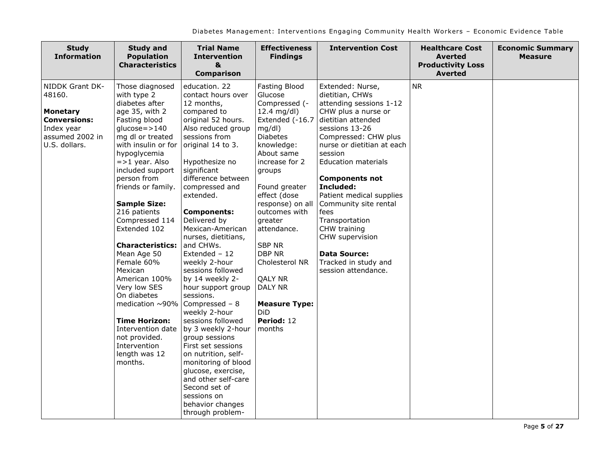| <b>Study</b><br><b>Information</b>                                                                                    | <b>Study and</b><br><b>Population</b><br><b>Characteristics</b>                                                                                                                                                                                                                                                                                                                                                                                                                                                                                                           | <b>Trial Name</b><br><b>Intervention</b><br>&<br><b>Comparison</b>                                                                                                                                                                                                                                                                                                                                                                                                                                                                                                                                                                                                                                                                           | <b>Effectiveness</b><br><b>Findings</b>                                                                                                                                                                                                                                                                                                                                                                            | <b>Intervention Cost</b>                                                                                                                                                                                                                                                                                                                                                                                                                                   | <b>Healthcare Cost</b><br><b>Averted</b><br><b>Productivity Loss</b><br><b>Averted</b> | <b>Economic Summary</b><br><b>Measure</b> |
|-----------------------------------------------------------------------------------------------------------------------|---------------------------------------------------------------------------------------------------------------------------------------------------------------------------------------------------------------------------------------------------------------------------------------------------------------------------------------------------------------------------------------------------------------------------------------------------------------------------------------------------------------------------------------------------------------------------|----------------------------------------------------------------------------------------------------------------------------------------------------------------------------------------------------------------------------------------------------------------------------------------------------------------------------------------------------------------------------------------------------------------------------------------------------------------------------------------------------------------------------------------------------------------------------------------------------------------------------------------------------------------------------------------------------------------------------------------------|--------------------------------------------------------------------------------------------------------------------------------------------------------------------------------------------------------------------------------------------------------------------------------------------------------------------------------------------------------------------------------------------------------------------|------------------------------------------------------------------------------------------------------------------------------------------------------------------------------------------------------------------------------------------------------------------------------------------------------------------------------------------------------------------------------------------------------------------------------------------------------------|----------------------------------------------------------------------------------------|-------------------------------------------|
| NIDDK Grant DK-<br>48160.<br><b>Monetary</b><br><b>Conversions:</b><br>Index year<br>assumed 2002 in<br>U.S. dollars. | Those diagnosed<br>with type 2<br>diabetes after<br>age 35, with 2<br>Fasting blood<br>$glucose = > 140$<br>mg dl or treated<br>with insulin or for<br>hypoglycemia<br>$=$ >1 year. Also<br>included support<br>person from<br>friends or family.<br><b>Sample Size:</b><br>216 patients<br>Compressed 114<br>Extended 102<br><b>Characteristics:</b><br>Mean Age 50<br>Female 60%<br>Mexican<br>American 100%<br>Very low SES<br>On diabetes<br>medication $\sim$ 90%<br>Time Horizon:<br>Intervention date<br>not provided.<br>Intervention<br>length was 12<br>months. | education, 22<br>contact hours over<br>12 months,<br>compared to<br>original 52 hours.<br>Also reduced group<br>sessions from<br>original 14 to 3.<br>Hypothesize no<br>significant<br>difference between<br>compressed and<br>extended.<br><b>Components:</b><br>Delivered by<br>Mexican-American<br>nurses, dietitians,<br>and CHWs.<br>Extended - 12<br>weekly 2-hour<br>sessions followed<br>by 14 weekly 2-<br>hour support group<br>sessions.<br>Compressed - 8<br>weekly 2-hour<br>sessions followed<br>by 3 weekly 2-hour<br>group sessions<br>First set sessions<br>on nutrition, self-<br>monitoring of blood<br>glucose, exercise,<br>and other self-care<br>Second set of<br>sessions on<br>behavior changes<br>through problem- | Fasting Blood<br>Glucose<br>Compressed (-<br>12.4 mg/dl)<br>Extended (-16.7<br>$mg/dl$ )<br><b>Diabetes</b><br>knowledge:<br>About same<br>increase for 2<br>groups<br>Found greater<br>effect (dose<br>response) on all<br>outcomes with<br>greater<br>attendance.<br><b>SBP NR</b><br><b>DBP NR</b><br>Cholesterol NR<br><b>QALY NR</b><br>DALY NR<br><b>Measure Type:</b><br><b>DiD</b><br>Period: 12<br>months | Extended: Nurse,<br>dietitian, CHWs<br>attending sessions 1-12<br>CHW plus a nurse or<br>dietitian attended<br>sessions 13-26<br>Compressed: CHW plus<br>nurse or dietitian at each<br>session<br><b>Education materials</b><br><b>Components not</b><br>Included:<br>Patient medical supplies<br>Community site rental<br>fees<br>Transportation<br>CHW training<br>CHW supervision<br><b>Data Source:</b><br>Tracked in study and<br>session attendance. | <b>NR</b>                                                                              |                                           |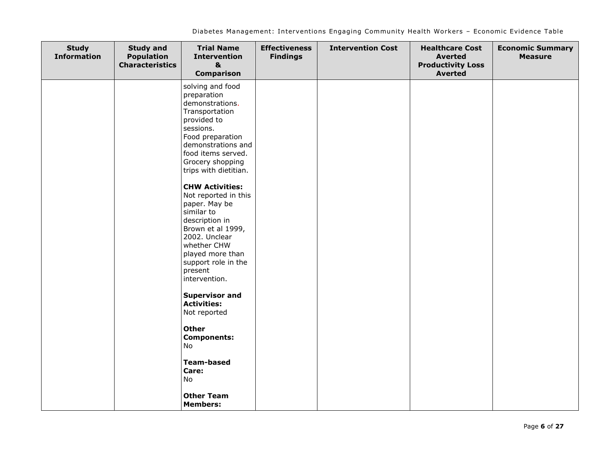| <b>Study</b><br><b>Information</b> | <b>Study and</b><br><b>Population</b><br><b>Characteristics</b> | <b>Trial Name</b><br><b>Intervention</b><br>$\mathbf{a}$<br><b>Comparison</b>                                                                                                                                                                                                                                                                                                                                                                                                                                                                                                                                                        | <b>Effectiveness</b><br><b>Findings</b> | <b>Intervention Cost</b> | <b>Healthcare Cost</b><br><b>Averted</b><br><b>Productivity Loss</b><br><b>Averted</b> | <b>Economic Summary</b><br><b>Measure</b> |
|------------------------------------|-----------------------------------------------------------------|--------------------------------------------------------------------------------------------------------------------------------------------------------------------------------------------------------------------------------------------------------------------------------------------------------------------------------------------------------------------------------------------------------------------------------------------------------------------------------------------------------------------------------------------------------------------------------------------------------------------------------------|-----------------------------------------|--------------------------|----------------------------------------------------------------------------------------|-------------------------------------------|
|                                    |                                                                 | solving and food<br>preparation<br>demonstrations.<br>Transportation<br>provided to<br>sessions.<br>Food preparation<br>demonstrations and<br>food items served.<br>Grocery shopping<br>trips with dietitian.<br><b>CHW Activities:</b><br>Not reported in this<br>paper. May be<br>similar to<br>description in<br>Brown et al 1999,<br>2002. Unclear<br>whether CHW<br>played more than<br>support role in the<br>present<br>intervention.<br><b>Supervisor and</b><br><b>Activities:</b><br>Not reported<br><b>Other</b><br><b>Components:</b><br>No.<br><b>Team-based</b><br>Care:<br>No<br><b>Other Team</b><br><b>Members:</b> |                                         |                          |                                                                                        |                                           |
|                                    |                                                                 |                                                                                                                                                                                                                                                                                                                                                                                                                                                                                                                                                                                                                                      |                                         |                          |                                                                                        |                                           |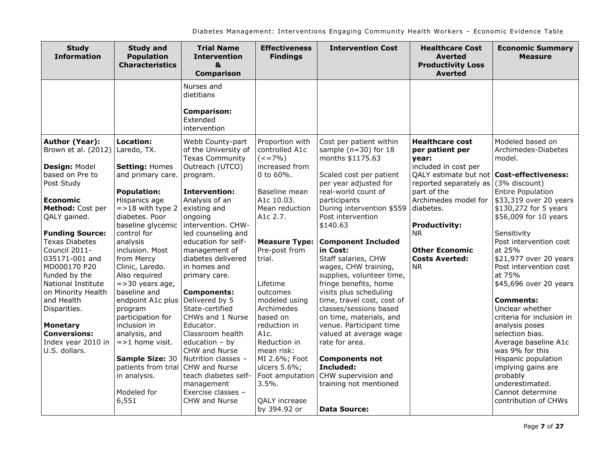| <b>Study</b><br><b>Information</b>                                                                                                               | <b>Study and</b><br><b>Population</b><br><b>Characteristics</b>                                                     | <b>Trial Name</b><br><b>Intervention</b><br>&<br><b>Comparison</b>                                                                                            | <b>Effectiveness</b><br><b>Findings</b>                                                                 | <b>Intervention Cost</b>                                                                                                                                       | <b>Healthcare Cost</b><br><b>Averted</b><br><b>Productivity Loss</b><br><b>Averted</b>                                    | <b>Economic Summary</b><br><b>Measure</b>                                                                                                                       |
|--------------------------------------------------------------------------------------------------------------------------------------------------|---------------------------------------------------------------------------------------------------------------------|---------------------------------------------------------------------------------------------------------------------------------------------------------------|---------------------------------------------------------------------------------------------------------|----------------------------------------------------------------------------------------------------------------------------------------------------------------|---------------------------------------------------------------------------------------------------------------------------|-----------------------------------------------------------------------------------------------------------------------------------------------------------------|
|                                                                                                                                                  |                                                                                                                     | Nurses and<br>dietitians<br><b>Comparison:</b><br>Extended<br>intervention                                                                                    |                                                                                                         |                                                                                                                                                                |                                                                                                                           |                                                                                                                                                                 |
| Author (Year):<br>Brown et al. (2012)<br>Design: Model<br>based on Pre to                                                                        | Location:<br>Laredo, TX.<br><b>Setting: Homes</b><br>and primary care.                                              | Webb County-part<br>of the University of<br><b>Texas Community</b><br>Outreach (UTCO)<br>program.                                                             | Proportion with<br>controlled A1c<br>$(<=7\%)$<br>increased from<br>0 to $60%$ .                        | Cost per patient within<br>sample ( $n=30$ ) for 18<br>months \$1175.63<br>Scaled cost per patient                                                             | <b>Healthcare cost</b><br>per patient per<br>vear:<br>included in cost per<br>QALY estimate but not   Cost-effectiveness: | Modeled based on<br>Archimedes-Diabetes<br>model.                                                                                                               |
| Post Study<br><b>Economic</b><br>Method: Cost per<br>QALY gained.                                                                                | <b>Population:</b><br>Hispanics age<br>$=$ >18 with type 2<br>diabetes. Poor<br>baseline glycemic                   | <b>Intervention:</b><br>Analysis of an<br>existing and<br>ongoing<br>intervention. CHW-                                                                       | Baseline mean<br>A1c 10.03.<br>Mean reduction<br>A1c 2.7.                                               | per year adjusted for<br>real-world count of<br>participants<br>During intervention \$559<br>Post intervention<br>\$140.63                                     | reported separately as $(3\%$ discount)<br>part of the<br>diabetes.<br><b>Productivity:</b>                               | <b>Entire Population</b><br>Archimedes model for \$33,319 over 20 years<br>\$130,272 for 5 years<br>\$56,009 for 10 years                                       |
| <b>Funding Source:</b><br><b>Texas Diabetes</b><br>Council 2011-<br>035171-001 and<br>MD000170 P20<br>funded by the<br><b>National Institute</b> | control for<br>analysis<br>inclusion. Most<br>from Mercy<br>Clinic, Laredo.<br>Also required<br>$=$ > 30 years age, | led counseling and<br>education for self-<br>management of<br>diabetes delivered<br>in homes and<br>primary care.                                             | <b>Measure Type:</b><br>Pre-post from<br>trial.<br>Lifetime                                             | <b>Component Included</b><br>in Cost:<br>Staff salaries, CHW<br>wages, CHW training,<br>supplies, volunteer time,<br>fringe benefits, home                     | <b>NR</b><br><b>Other Economic</b><br><b>Costs Averted:</b><br><b>NR</b>                                                  | Sensitivity<br>Post intervention cost<br>at 25%<br>\$21,977 over 20 years<br>Post intervention cost<br>at 75%<br>\$45,696 over 20 years                         |
| on Minority Health<br>and Health<br>Disparities.<br><b>Monetary</b><br><b>Conversions:</b>                                                       | baseline and<br>endpoint A1c plus<br>program<br>participation for<br>inclusion in<br>analysis, and                  | <b>Components:</b><br>Delivered by 5<br>State-certified<br>CHWs and 1 Nurse<br>Educator.<br>Classroom health                                                  | outcomes<br>modeled using<br>Archimedes<br>based on<br>reduction in<br>A1c.                             | visits plus scheduling<br>time, travel cost, cost of<br>classes/sessions based<br>on time, materials, and<br>venue. Participant time<br>valued at average wage |                                                                                                                           | <b>Comments:</b><br>Unclear whether<br>criteria for inclusion in<br>analysis poses<br>selection bias.                                                           |
| Index year 2010 in<br>U.S. dollars.                                                                                                              | $=$ >1 home visit.<br>Sample Size: 30<br>patients from trial<br>in analysis.<br>Modeled for<br>6,551                | education $-$ by<br>CHW and Nurse<br>Nutrition classes -<br><b>CHW</b> and Nurse<br>teach diabetes self-<br>management<br>Exercise classes -<br>CHW and Nurse | Reduction in<br>mean risk:<br>MI 2.6%; Foot<br>ulcers 5.6%;<br>Foot amputation<br>3.5%<br>QALY increase | rate for area.<br><b>Components not</b><br>Included:<br>CHW supervision and<br>training not mentioned                                                          |                                                                                                                           | Average baseline A1c<br>was 9% for this<br>Hispanic population<br>implying gains are<br>probably<br>underestimated.<br>Cannot determine<br>contribution of CHWs |
|                                                                                                                                                  |                                                                                                                     |                                                                                                                                                               | by 394.92 or                                                                                            | <b>Data Source:</b>                                                                                                                                            |                                                                                                                           |                                                                                                                                                                 |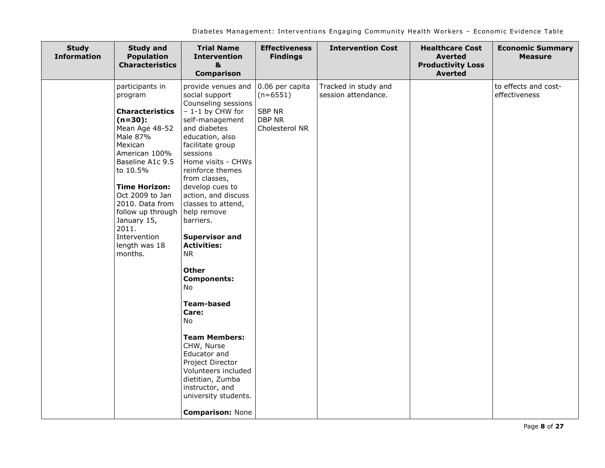| <b>Study</b><br><b>Information</b> | <b>Study and</b><br><b>Population</b><br><b>Characteristics</b>                                                                                                                                                                                                                                                    | <b>Trial Name</b><br><b>Intervention</b><br>&<br><b>Comparison</b>                                                                                                                                                                                                                                                                                                                                                                                                                                                                                                                                                                                                   | <b>Effectiveness</b><br><b>Findings</b>                                           | <b>Intervention Cost</b>                    | <b>Healthcare Cost</b><br><b>Averted</b><br><b>Productivity Loss</b><br><b>Averted</b> | <b>Economic Summary</b><br><b>Measure</b> |
|------------------------------------|--------------------------------------------------------------------------------------------------------------------------------------------------------------------------------------------------------------------------------------------------------------------------------------------------------------------|----------------------------------------------------------------------------------------------------------------------------------------------------------------------------------------------------------------------------------------------------------------------------------------------------------------------------------------------------------------------------------------------------------------------------------------------------------------------------------------------------------------------------------------------------------------------------------------------------------------------------------------------------------------------|-----------------------------------------------------------------------------------|---------------------------------------------|----------------------------------------------------------------------------------------|-------------------------------------------|
|                                    | participants in<br>program<br><b>Characteristics</b><br>$(n=30):$<br>Mean Age 48-52<br>Male 87%<br>Mexican<br>American 100%<br>Baseline A1c 9.5<br>to 10.5%<br><b>Time Horizon:</b><br>Oct 2009 to Jan<br>2010. Data from<br>follow up through<br>January 15,<br>2011.<br>Intervention<br>length was 18<br>months. | provide venues and<br>social support<br>Counseling sessions<br>$-1-1$ by CHW for<br>self-management<br>and diabetes<br>education, also<br>facilitate group<br>sessions<br>Home visits - CHWs<br>reinforce themes<br>from classes,<br>develop cues to<br>action, and discuss<br>classes to attend,<br>help remove<br>barriers.<br><b>Supervisor and</b><br><b>Activities:</b><br><b>NR</b><br><b>Other</b><br><b>Components:</b><br>No<br><b>Team-based</b><br>Care:<br>No<br><b>Team Members:</b><br>CHW, Nurse<br>Educator and<br>Project Director<br>Volunteers included<br>dietitian, Zumba<br>instructor, and<br>university students.<br><b>Comparison: None</b> | 0.06 per capita<br>$(n=6551)$<br><b>SBP NR</b><br><b>DBP NR</b><br>Cholesterol NR | Tracked in study and<br>session attendance. |                                                                                        | to effects and cost-<br>effectiveness     |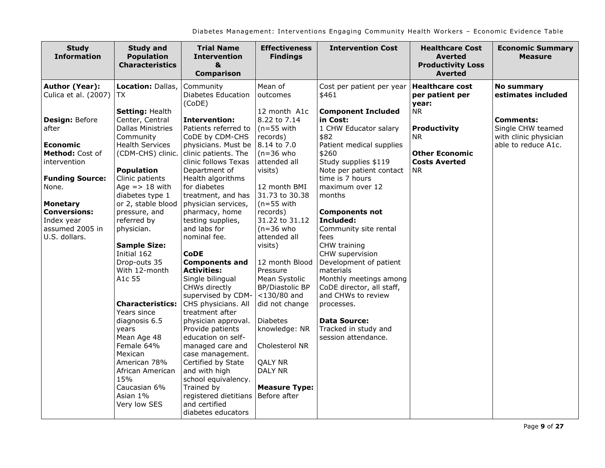| <b>Study</b><br><b>Information</b>                                                       | <b>Study and</b><br><b>Population</b><br><b>Characteristics</b>                                                                          | <b>Trial Name</b><br><b>Intervention</b><br>&<br><b>Comparison</b>                                                                                                                                   | <b>Effectiveness</b><br><b>Findings</b>                                                                   | <b>Intervention Cost</b>                                                                                                       | <b>Healthcare Cost</b><br><b>Averted</b><br><b>Productivity Loss</b><br><b>Averted</b> | <b>Economic Summary</b><br><b>Measure</b>                      |
|------------------------------------------------------------------------------------------|------------------------------------------------------------------------------------------------------------------------------------------|------------------------------------------------------------------------------------------------------------------------------------------------------------------------------------------------------|-----------------------------------------------------------------------------------------------------------|--------------------------------------------------------------------------------------------------------------------------------|----------------------------------------------------------------------------------------|----------------------------------------------------------------|
| <b>Author (Year):</b><br>Culica et al. (2007)                                            | Location: Dallas,<br>TX.                                                                                                                 | Community<br>Diabetes Education<br>(CoDE)                                                                                                                                                            | Mean of<br>outcomes                                                                                       | Cost per patient per year<br>\$461                                                                                             | <b>Healthcare cost</b><br>per patient per<br>year:                                     | <b>No summary</b><br>estimates included                        |
| Design: Before<br>after                                                                  | Setting: Health<br>Center, Central<br><b>Dallas Ministries</b><br>Community                                                              | <b>Intervention:</b><br>Patients referred to<br>CoDE by CDM-CHS                                                                                                                                      | 12 month A1c<br>8.22 to 7.14<br>$(n=55$ with<br>records)                                                  | <b>Component Included</b><br>in Cost:<br>1 CHW Educator salary<br>\$82                                                         | <b>NR</b><br><b>Productivity</b><br>NR.                                                | <b>Comments:</b><br>Single CHW teamed<br>with clinic physician |
| <b>Economic</b><br>Method: Cost of<br>intervention                                       | <b>Health Services</b><br>(CDM-CHS) clinic.                                                                                              | physicians. Must be<br>clinic patients. The<br>clinic follows Texas                                                                                                                                  | 8.14 to 7.0<br>$(n=36$ who<br>attended all                                                                | Patient medical supplies<br>\$260<br>Study supplies \$119                                                                      | <b>Other Economic</b><br><b>Costs Averted</b>                                          | able to reduce A1c.                                            |
| <b>Funding Source:</b><br>None.                                                          | <b>Population</b><br>Clinic patients<br>Age $=$ > 18 with<br>diabetes type 1                                                             | Department of<br>Health algorithms<br>for diabetes<br>treatment, and has                                                                                                                             | visits)<br>12 month BMI<br>31.73 to 30.38                                                                 | Note per patient contact<br>time is 7 hours<br>maximum over 12<br>months                                                       | <b>NR</b>                                                                              |                                                                |
| <b>Monetary</b><br><b>Conversions:</b><br>Index year<br>assumed 2005 in<br>U.S. dollars. | or 2, stable blood<br>pressure, and<br>referred by<br>physician.<br><b>Sample Size:</b><br>Initial 162                                   | physician services,<br>pharmacy, home<br>testing supplies,<br>and labs for<br>nominal fee.<br><b>CoDE</b>                                                                                            | $(n=55$ with<br>records)<br>31.22 to 31.12<br>$(n=36$ who<br>attended all<br>visits)                      | <b>Components not</b><br>Included:<br>Community site rental<br>fees<br>CHW training<br>CHW supervision                         |                                                                                        |                                                                |
|                                                                                          | Drop-outs 35<br>With 12-month<br>A1c 55<br><b>Characteristics:</b>                                                                       | <b>Components and</b><br><b>Activities:</b><br>Single bilingual<br>CHWs directly<br>supervised by CDM-<br>CHS physicians. All                                                                        | 12 month Blood<br>Pressure<br>Mean Systolic<br><b>BP/Diastolic BP</b><br>$<$ 130/80 and<br>did not change | Development of patient<br>materials<br>Monthly meetings among<br>CoDE director, all staff,<br>and CHWs to review<br>processes. |                                                                                        |                                                                |
|                                                                                          | Years since<br>diagnosis 6.5<br>years<br>Mean Age 48<br>Female 64%<br>Mexican<br>American 78%<br>African American<br>15%<br>Caucasian 6% | treatment after<br>physician approval.<br>Provide patients<br>education on self-<br>managed care and<br>case management.<br>Certified by State<br>and with high<br>school equivalency.<br>Trained by | <b>Diabetes</b><br>knowledge: NR<br>Cholesterol NR<br><b>QALY NR</b><br>DALY NR<br><b>Measure Type:</b>   | Data Source:<br>Tracked in study and<br>session attendance.                                                                    |                                                                                        |                                                                |
|                                                                                          | Asian 1%<br>Very low SES                                                                                                                 | registered dietitians<br>and certified<br>diabetes educators                                                                                                                                         | Before after                                                                                              |                                                                                                                                |                                                                                        |                                                                |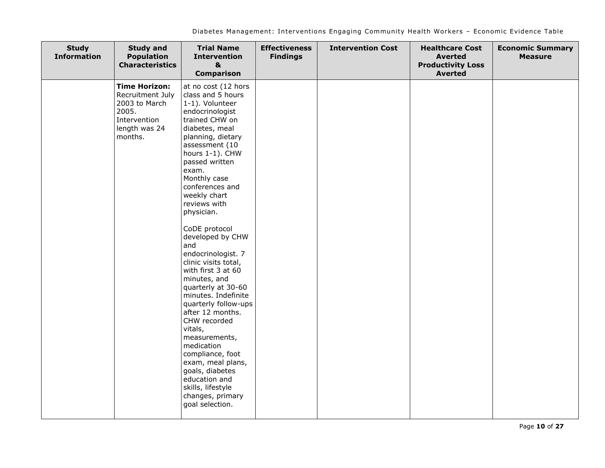| <b>Study</b><br><b>Information</b> | <b>Study and</b><br><b>Population</b><br><b>Characteristics</b>                                                | <b>Trial Name</b><br><b>Intervention</b><br>$\mathbf{a}$<br><b>Comparison</b>                                                                                                                                                                                                                                                                                                                                                                                                                                                                                                                                                                                                                                        | <b>Effectiveness</b><br><b>Findings</b> | <b>Intervention Cost</b> | <b>Healthcare Cost</b><br><b>Averted</b><br><b>Productivity Loss</b><br><b>Averted</b> | <b>Economic Summary</b><br><b>Measure</b> |
|------------------------------------|----------------------------------------------------------------------------------------------------------------|----------------------------------------------------------------------------------------------------------------------------------------------------------------------------------------------------------------------------------------------------------------------------------------------------------------------------------------------------------------------------------------------------------------------------------------------------------------------------------------------------------------------------------------------------------------------------------------------------------------------------------------------------------------------------------------------------------------------|-----------------------------------------|--------------------------|----------------------------------------------------------------------------------------|-------------------------------------------|
|                                    | <b>Time Horizon:</b><br>Recruitment July<br>2003 to March<br>2005.<br>Intervention<br>length was 24<br>months. | at no cost (12 hors<br>class and 5 hours<br>1-1). Volunteer<br>endocrinologist<br>trained CHW on<br>diabetes, meal<br>planning, dietary<br>assessment (10<br>hours 1-1). CHW<br>passed written<br>exam.<br>Monthly case<br>conferences and<br>weekly chart<br>reviews with<br>physician.<br>CoDE protocol<br>developed by CHW<br>and<br>endocrinologist. 7<br>clinic visits total,<br>with first 3 at 60<br>minutes, and<br>quarterly at 30-60<br>minutes. Indefinite<br>quarterly follow-ups<br>after 12 months.<br>CHW recorded<br>vitals,<br>measurements,<br>medication<br>compliance, foot<br>exam, meal plans,<br>goals, diabetes<br>education and<br>skills, lifestyle<br>changes, primary<br>goal selection. |                                         |                          |                                                                                        |                                           |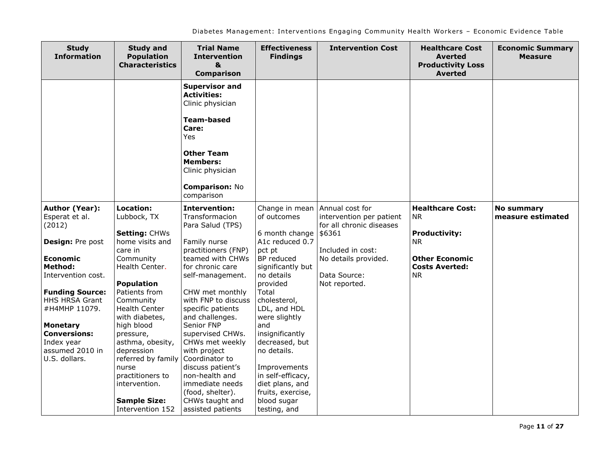| <b>Study</b><br><b>Information</b>                                                                                                                                                                                                                                                 | <b>Study and</b><br><b>Population</b><br><b>Characteristics</b>                                                                                                                                                                                                                                                     | <b>Trial Name</b><br><b>Intervention</b><br>&<br><b>Comparison</b>                                                                                                                                                                                                                                                                                                            | <b>Effectiveness</b><br><b>Findings</b>                                                                                                                                                                                                                                                             | <b>Intervention Cost</b>                                                                                                                                        | <b>Healthcare Cost</b><br><b>Averted</b><br><b>Productivity Loss</b><br><b>Averted</b>                                                   | <b>Economic Summary</b><br><b>Measure</b> |
|------------------------------------------------------------------------------------------------------------------------------------------------------------------------------------------------------------------------------------------------------------------------------------|---------------------------------------------------------------------------------------------------------------------------------------------------------------------------------------------------------------------------------------------------------------------------------------------------------------------|-------------------------------------------------------------------------------------------------------------------------------------------------------------------------------------------------------------------------------------------------------------------------------------------------------------------------------------------------------------------------------|-----------------------------------------------------------------------------------------------------------------------------------------------------------------------------------------------------------------------------------------------------------------------------------------------------|-----------------------------------------------------------------------------------------------------------------------------------------------------------------|------------------------------------------------------------------------------------------------------------------------------------------|-------------------------------------------|
|                                                                                                                                                                                                                                                                                    |                                                                                                                                                                                                                                                                                                                     | <b>Supervisor and</b><br><b>Activities:</b><br>Clinic physician<br><b>Team-based</b><br>Care:<br>Yes<br><b>Other Team</b><br><b>Members:</b><br>Clinic physician<br><b>Comparison: No</b><br>comparison                                                                                                                                                                       |                                                                                                                                                                                                                                                                                                     |                                                                                                                                                                 |                                                                                                                                          |                                           |
| Author (Year):<br>Esperat et al.<br>(2012)<br>Design: Pre post<br><b>Economic</b><br><b>Method:</b><br>Intervention cost.<br><b>Funding Source:</b><br>HHS HRSA Grant<br>#H4MHP 11079.<br><b>Monetary</b><br><b>Conversions:</b><br>Index year<br>assumed 2010 in<br>U.S. dollars. | Location:<br>Lubbock, TX<br>Setting: CHWs<br>home visits and<br>care in<br>Community<br>Health Center.<br><b>Population</b><br>Patients from<br>Community<br><b>Health Center</b><br>with diabetes,<br>high blood<br>pressure,<br>asthma, obesity,<br>depression<br>referred by family<br>nurse<br>practitioners to | <b>Intervention:</b><br>Transformacion<br>Para Salud (TPS)<br>Family nurse<br>practitioners (FNP)<br>teamed with CHWs<br>for chronic care<br>self-management.<br>CHW met monthly<br>with FNP to discuss<br>specific patients<br>and challenges.<br>Senior FNP<br>supervised CHWs.<br>CHWs met weekly<br>with project<br>Coordinator to<br>discuss patient's<br>non-health and | Change in mean<br>of outcomes<br>6 month change<br>A1c reduced 0.7<br>pct pt<br>BP reduced<br>significantly but<br>no details<br>provided<br>Total<br>cholesterol,<br>LDL, and HDL<br>were slightly<br>and<br>insignificantly<br>decreased, but<br>no details.<br>Improvements<br>in self-efficacy, | Annual cost for<br>intervention per patient<br>for all chronic diseases<br>\$6361<br>Included in cost:<br>No details provided.<br>Data Source:<br>Not reported. | <b>Healthcare Cost:</b><br><b>NR</b><br><b>Productivity:</b><br><b>NR</b><br><b>Other Economic</b><br><b>Costs Averted:</b><br><b>NR</b> | <b>No summary</b><br>measure estimated    |
|                                                                                                                                                                                                                                                                                    | intervention.<br><b>Sample Size:</b><br>Intervention 152                                                                                                                                                                                                                                                            | immediate needs<br>(food, shelter).<br>CHWs taught and<br>assisted patients                                                                                                                                                                                                                                                                                                   | diet plans, and<br>fruits, exercise,<br>blood sugar<br>testing, and                                                                                                                                                                                                                                 |                                                                                                                                                                 |                                                                                                                                          |                                           |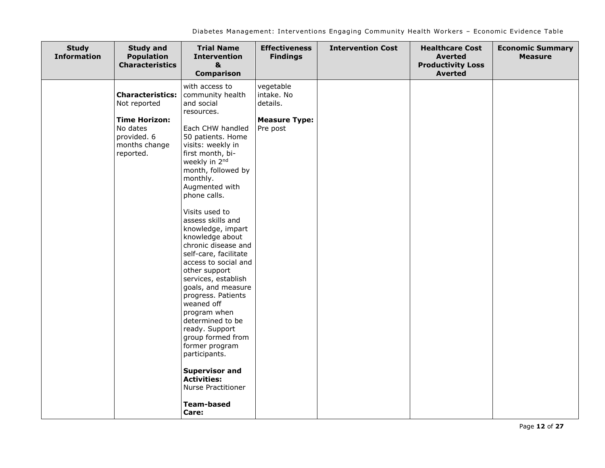| <b>Study</b><br><b>Information</b> | <b>Study and</b><br><b>Population</b><br><b>Characteristics</b>                                                          | <b>Trial Name</b><br><b>Intervention</b><br>&<br><b>Comparison</b>                                                                                                                                                                                                                                                                                                                                                                                                                                                                                                                                                                                                                | <b>Effectiveness</b><br><b>Findings</b>                                 | <b>Intervention Cost</b> | <b>Healthcare Cost</b><br><b>Averted</b><br><b>Productivity Loss</b><br><b>Averted</b> | <b>Economic Summary</b><br><b>Measure</b> |
|------------------------------------|--------------------------------------------------------------------------------------------------------------------------|-----------------------------------------------------------------------------------------------------------------------------------------------------------------------------------------------------------------------------------------------------------------------------------------------------------------------------------------------------------------------------------------------------------------------------------------------------------------------------------------------------------------------------------------------------------------------------------------------------------------------------------------------------------------------------------|-------------------------------------------------------------------------|--------------------------|----------------------------------------------------------------------------------------|-------------------------------------------|
|                                    | <b>Characteristics:</b><br>Not reported<br><b>Time Horizon:</b><br>No dates<br>provided. 6<br>months change<br>reported. | with access to<br>community health<br>and social<br>resources.<br>Each CHW handled<br>50 patients. Home<br>visits: weekly in<br>first month, bi-<br>weekly in 2nd<br>month, followed by<br>monthly.<br>Augmented with<br>phone calls.<br>Visits used to<br>assess skills and<br>knowledge, impart<br>knowledge about<br>chronic disease and<br>self-care, facilitate<br>access to social and<br>other support<br>services, establish<br>goals, and measure<br>progress. Patients<br>weaned off<br>program when<br>determined to be<br>ready. Support<br>group formed from<br>former program<br>participants.<br><b>Supervisor and</b><br><b>Activities:</b><br>Nurse Practitioner | vegetable<br>intake. No<br>details.<br><b>Measure Type:</b><br>Pre post |                          |                                                                                        |                                           |
|                                    |                                                                                                                          | <b>Team-based</b><br>Care:                                                                                                                                                                                                                                                                                                                                                                                                                                                                                                                                                                                                                                                        |                                                                         |                          |                                                                                        |                                           |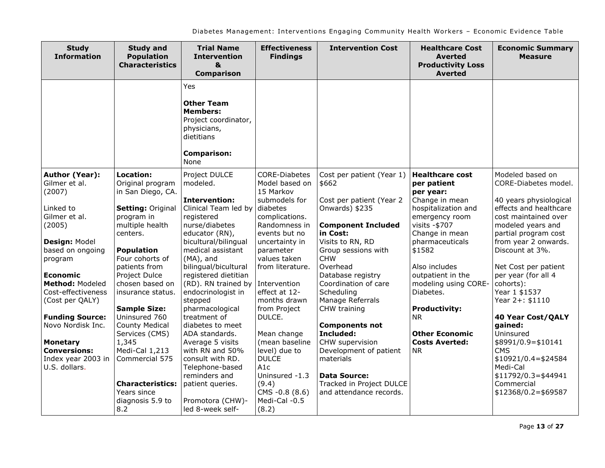| <b>Study</b><br><b>Information</b>                                                                                                                                                                                 | <b>Study and</b><br><b>Population</b><br><b>Characteristics</b>                                                                                                                                                                                   | <b>Trial Name</b><br><b>Intervention</b><br>&<br><b>Comparison</b>                                                                                                                                                                                                                                                      | <b>Effectiveness</b><br><b>Findings</b>                                                                                                                                                                                     | <b>Intervention Cost</b>                                                                                                                                                                                                                                                         | <b>Healthcare Cost</b><br><b>Averted</b><br><b>Productivity Loss</b><br><b>Averted</b>                                                                                                                                                  | <b>Economic Summary</b><br><b>Measure</b>                                                                                                                                                                                                                                                               |
|--------------------------------------------------------------------------------------------------------------------------------------------------------------------------------------------------------------------|---------------------------------------------------------------------------------------------------------------------------------------------------------------------------------------------------------------------------------------------------|-------------------------------------------------------------------------------------------------------------------------------------------------------------------------------------------------------------------------------------------------------------------------------------------------------------------------|-----------------------------------------------------------------------------------------------------------------------------------------------------------------------------------------------------------------------------|----------------------------------------------------------------------------------------------------------------------------------------------------------------------------------------------------------------------------------------------------------------------------------|-----------------------------------------------------------------------------------------------------------------------------------------------------------------------------------------------------------------------------------------|---------------------------------------------------------------------------------------------------------------------------------------------------------------------------------------------------------------------------------------------------------------------------------------------------------|
|                                                                                                                                                                                                                    |                                                                                                                                                                                                                                                   | Yes<br><b>Other Team</b><br><b>Members:</b><br>Project coordinator,<br>physicians,<br>dietitians<br><b>Comparison:</b><br>None                                                                                                                                                                                          |                                                                                                                                                                                                                             |                                                                                                                                                                                                                                                                                  |                                                                                                                                                                                                                                         |                                                                                                                                                                                                                                                                                                         |
| <b>Author (Year):</b><br>Gilmer et al.<br>(2007)                                                                                                                                                                   | Location:<br>Original program<br>in San Diego, CA.                                                                                                                                                                                                | Project DULCE<br>modeled.                                                                                                                                                                                                                                                                                               | <b>CORE-Diabetes</b><br>Model based on<br>15 Markov                                                                                                                                                                         | Cost per patient (Year 1)<br>\$662                                                                                                                                                                                                                                               | <b>Healthcare cost</b><br>per patient<br>per year:                                                                                                                                                                                      | Modeled based on<br>CORE-Diabetes model.                                                                                                                                                                                                                                                                |
| Linked to<br>Gilmer et al.<br>(2005)<br>Design: Model<br>based on ongoing<br>program<br><b>Economic</b><br>Method: Modeled<br>Cost-effectiveness<br>(Cost per QALY)<br><b>Funding Source:</b><br>Novo Nordisk Inc. | Setting: Original<br>program in<br>multiple health<br>centers.<br><b>Population</b><br>Four cohorts of<br>patients from<br>Project Dulce<br>chosen based on<br>insurance status.<br><b>Sample Size:</b><br>Uninsured 760<br><b>County Medical</b> | <b>Intervention:</b><br>Clinical Team led by<br>registered<br>nurse/diabetes<br>educator (RN),<br>bicultural/bilingual<br>medical assistant<br>(MA), and<br>bilingual/bicultural<br>registered dietitian<br>(RD). RN trained by<br>endocrinologist in<br>stepped<br>pharmacological<br>treatment of<br>diabetes to meet | submodels for<br>diabetes<br>complications.<br>Randomness in<br>events but no<br>uncertainty in<br>parameter<br>values taken<br>from literature.<br>Intervention<br>effect at 12-<br>months drawn<br>from Project<br>DULCE. | Cost per patient (Year 2<br>Onwards) \$235<br><b>Component Included</b><br>in Cost:<br>Visits to RN, RD<br>Group sessions with<br><b>CHW</b><br>Overhead<br>Database registry<br>Coordination of care<br>Scheduling<br>Manage Referrals<br>CHW training<br><b>Components not</b> | Change in mean<br>hospitalization and<br>emergency room<br>visits -\$707<br>Change in mean<br>pharmaceuticals<br>\$1582<br>Also includes<br>outpatient in the<br>modeling using CORE-<br>Diabetes.<br><b>Productivity:</b><br><b>NR</b> | 40 years physiological<br>effects and healthcare<br>cost maintained over<br>modeled years and<br>partial program cost<br>from year 2 onwards.<br>Discount at 3%.<br>Net Cost per patient<br>per year (for all 4<br>cohorts):<br>Year 1 \$1537<br>Year 2+: \$1110<br><b>40 Year Cost/QALY</b><br>gained: |
| <b>Monetary</b><br><b>Conversions:</b><br>Index year 2003 in<br>U.S. dollars.                                                                                                                                      | Services (CMS)<br>1,345<br>Medi-Cal 1,213<br>Commercial 575<br><b>Characteristics:</b><br>Years since<br>diagnosis 5.9 to<br>8.2                                                                                                                  | ADA standards.<br>Average 5 visits<br>with RN and 50%<br>consult with RD.<br>Telephone-based<br>reminders and<br>patient queries.<br>Promotora (CHW)-<br>led 8-week self-                                                                                                                                               | Mean change<br>(mean baseline<br>level) due to<br><b>DULCE</b><br>A <sub>1</sub> c<br>Uninsured -1.3<br>(9.4)<br>CMS -0.8 (8.6)<br>Medi-Cal -0.5<br>(8.2)                                                                   | Included:<br>CHW supervision<br>Development of patient<br>materials<br><b>Data Source:</b><br>Tracked in Project DULCE<br>and attendance records.                                                                                                                                | <b>Other Economic</b><br><b>Costs Averted:</b><br><b>NR</b>                                                                                                                                                                             | Uninsured<br>$$8991/0.9 = $10141$<br><b>CMS</b><br>$$10921/0.4 = $24584$<br>Medi-Cal<br>$$11792/0.3 = $44941$<br>Commercial<br>$$12368/0.2 = $69587$                                                                                                                                                    |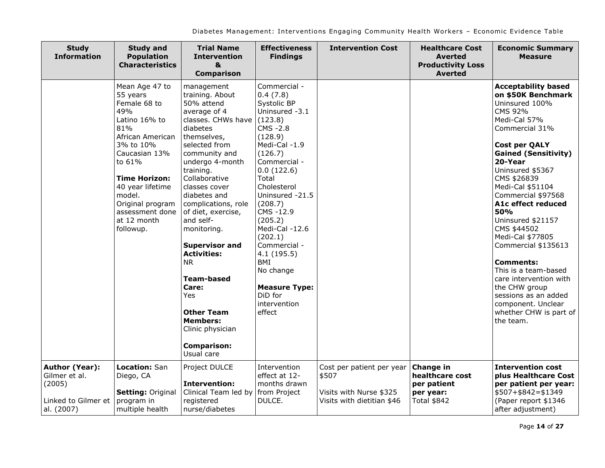| <b>Study</b><br><b>Information</b>                                                    | <b>Study and</b><br><b>Population</b><br><b>Characteristics</b>                                                                                                                                                                                                | <b>Trial Name</b><br><b>Intervention</b><br>&<br><b>Comparison</b>                                                                                                                                                                                                                                                                                                                                                                                                                                                | <b>Effectiveness</b><br><b>Findings</b>                                                                                                                                                                                                                                                                                                                                                 | <b>Intervention Cost</b>                                                                    | <b>Healthcare Cost</b><br><b>Averted</b><br><b>Productivity Loss</b><br><b>Averted</b> | <b>Economic Summary</b><br><b>Measure</b>                                                                                                                                                                                                                                                                                                                                                                                                                                                                                                              |
|---------------------------------------------------------------------------------------|----------------------------------------------------------------------------------------------------------------------------------------------------------------------------------------------------------------------------------------------------------------|-------------------------------------------------------------------------------------------------------------------------------------------------------------------------------------------------------------------------------------------------------------------------------------------------------------------------------------------------------------------------------------------------------------------------------------------------------------------------------------------------------------------|-----------------------------------------------------------------------------------------------------------------------------------------------------------------------------------------------------------------------------------------------------------------------------------------------------------------------------------------------------------------------------------------|---------------------------------------------------------------------------------------------|----------------------------------------------------------------------------------------|--------------------------------------------------------------------------------------------------------------------------------------------------------------------------------------------------------------------------------------------------------------------------------------------------------------------------------------------------------------------------------------------------------------------------------------------------------------------------------------------------------------------------------------------------------|
|                                                                                       | Mean Age 47 to<br>55 years<br>Female 68 to<br>49%<br>Latino 16% to<br>81%<br>African American<br>3% to 10%<br>Caucasian 13%<br>to 61%<br><b>Time Horizon:</b><br>40 year lifetime<br>model.<br>Original program<br>assessment done<br>at 12 month<br>followup. | management<br>training. About<br>50% attend<br>average of 4<br>classes. CHWs have<br>diabetes<br>themselves,<br>selected from<br>community and<br>undergo 4-month<br>training.<br>Collaborative<br>classes cover<br>diabetes and<br>complications, role<br>of diet, exercise,<br>and self-<br>monitoring.<br><b>Supervisor and</b><br><b>Activities:</b><br><b>NR</b><br><b>Team-based</b><br>Care:<br><b>Yes</b><br><b>Other Team</b><br><b>Members:</b><br>Clinic physician<br><b>Comparison:</b><br>Usual care | Commercial -<br>0.4(7.8)<br>Systolic BP<br>Uninsured -3.1<br>(123.8)<br>CMS - 2.8<br>(128.9)<br>Medi-Cal -1.9<br>(126.7)<br>Commercial -<br>0.0(122.6)<br>Total<br>Cholesterol<br>Uninsured -21.5<br>(208.7)<br>CMS -12.9<br>(205.2)<br>Medi-Cal -12.6<br>(202.1)<br>Commercial -<br>4.1(195.5)<br><b>BMI</b><br>No change<br><b>Measure Type:</b><br>DiD for<br>intervention<br>effect |                                                                                             |                                                                                        | <b>Acceptability based</b><br>on \$50K Benchmark<br>Uninsured 100%<br>CMS 92%<br>Medi-Cal 57%<br>Commercial 31%<br><b>Cost per QALY</b><br><b>Gained (Sensitivity)</b><br>20-Year<br>Uninsured \$5367<br>CMS \$26839<br>Medi-Cal \$51104<br>Commercial \$97568<br>A1c effect reduced<br>50%<br>Uninsured \$21157<br>CMS \$44502<br>Medi-Cal \$77805<br>Commercial \$135613<br><b>Comments:</b><br>This is a team-based<br>care intervention with<br>the CHW group<br>sessions as an added<br>component. Unclear<br>whether CHW is part of<br>the team. |
| <b>Author (Year):</b><br>Gilmer et al.<br>(2005)<br>Linked to Gilmer et<br>al. (2007) | Location: San<br>Diego, CA<br><b>Setting: Original</b><br>program in<br>multiple health                                                                                                                                                                        | Project DULCE<br><b>Intervention:</b><br>Clinical Team led by<br>registered<br>nurse/diabetes                                                                                                                                                                                                                                                                                                                                                                                                                     | Intervention<br>effect at 12-<br>months drawn<br>from Project<br>DULCE.                                                                                                                                                                                                                                                                                                                 | Cost per patient per year<br>\$507<br>Visits with Nurse \$325<br>Visits with dietitian \$46 | <b>Change in</b><br>healthcare cost<br>per patient<br>per year:<br>Total \$842         | <b>Intervention cost</b><br>plus Healthcare Cost<br>per patient per year:<br>$$507 + $842 = $1349$<br>(Paper report \$1346<br>after adjustment)                                                                                                                                                                                                                                                                                                                                                                                                        |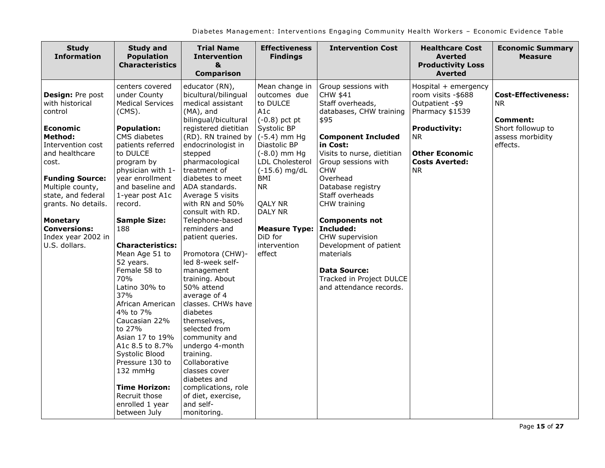| <b>Study</b><br><b>Information</b>                                                                                                                                                                                                                                                                              | <b>Study and</b><br><b>Population</b><br><b>Characteristics</b>                                                                                                                                                                                                                                                                                                                                                                                                                                                                                                                                             | <b>Trial Name</b><br><b>Intervention</b><br>&<br><b>Comparison</b>                                                                                                                                                                                                                                                                                                                                                                                                                                                                                                                                                                                                                                                                    | <b>Effectiveness</b><br><b>Findings</b>                                                                                                                                                                                                                                                | <b>Intervention Cost</b>                                                                                                                                                                                                                                                                                                                                                                                                                             | <b>Healthcare Cost</b><br><b>Averted</b><br><b>Productivity Loss</b><br><b>Averted</b>                                                                                          | <b>Economic Summary</b><br><b>Measure</b>                                                          |
|-----------------------------------------------------------------------------------------------------------------------------------------------------------------------------------------------------------------------------------------------------------------------------------------------------------------|-------------------------------------------------------------------------------------------------------------------------------------------------------------------------------------------------------------------------------------------------------------------------------------------------------------------------------------------------------------------------------------------------------------------------------------------------------------------------------------------------------------------------------------------------------------------------------------------------------------|---------------------------------------------------------------------------------------------------------------------------------------------------------------------------------------------------------------------------------------------------------------------------------------------------------------------------------------------------------------------------------------------------------------------------------------------------------------------------------------------------------------------------------------------------------------------------------------------------------------------------------------------------------------------------------------------------------------------------------------|----------------------------------------------------------------------------------------------------------------------------------------------------------------------------------------------------------------------------------------------------------------------------------------|------------------------------------------------------------------------------------------------------------------------------------------------------------------------------------------------------------------------------------------------------------------------------------------------------------------------------------------------------------------------------------------------------------------------------------------------------|---------------------------------------------------------------------------------------------------------------------------------------------------------------------------------|----------------------------------------------------------------------------------------------------|
| Design: Pre post<br>with historical<br>control<br><b>Economic</b><br><b>Method:</b><br>Intervention cost<br>and healthcare<br>cost.<br><b>Funding Source:</b><br>Multiple county,<br>state, and federal<br>grants. No details.<br><b>Monetary</b><br><b>Conversions:</b><br>Index year 2002 in<br>U.S. dollars. | centers covered<br>under County<br><b>Medical Services</b><br>$(CMS)$ .<br><b>Population:</b><br>CMS diabetes<br>patients referred<br>to DULCE<br>program by<br>physician with 1-<br>year enrollment<br>and baseline and<br>1-year post A1c<br>record.<br><b>Sample Size:</b><br>188<br><b>Characteristics:</b><br>Mean Age 51 to<br>52 years.<br>Female 58 to<br>70%<br>Latino 30% to<br>37%<br>African American<br>4% to 7%<br>Caucasian 22%<br>to 27%<br>Asian 17 to 19%<br>A1c 8.5 to 8.7%<br>Systolic Blood<br>Pressure 130 to<br>132 mmHg<br><b>Time Horizon:</b><br>Recruit those<br>enrolled 1 year | educator (RN),<br>bicultural/bilingual<br>medical assistant<br>$(MA)$ , and<br>bilingual/bicultural<br>registered dietitian<br>(RD). RN trained by $( -5.4)$ mm Hg<br>endocrinologist in<br>stepped<br>pharmacological<br>treatment of<br>diabetes to meet<br>ADA standards.<br>Average 5 visits<br>with RN and 50%<br>consult with RD.<br>Telephone-based<br>reminders and<br>patient queries.<br>Promotora (CHW)-<br>led 8-week self-<br>management<br>training. About<br>50% attend<br>average of 4<br>classes. CHWs have<br>diabetes<br>themselves,<br>selected from<br>community and<br>undergo 4-month<br>training.<br>Collaborative<br>classes cover<br>diabetes and<br>complications, role<br>of diet, exercise,<br>and self- | Mean change in<br>outcomes due<br>to DULCE<br>A <sub>1</sub> c<br>$(-0.8)$ pct pt<br>Systolic BP<br>Diastolic BP<br>$(-8.0)$ mm Hg<br>LDL Cholesterol<br>$(-15.6)$ mg/dL<br>BMI<br><b>NR</b><br><b>QALY NR</b><br>DALY NR<br><b>Measure Type:</b><br>DiD for<br>intervention<br>effect | Group sessions with<br>CHW \$41<br>Staff overheads,<br>databases, CHW training<br>\$95<br><b>Component Included</b><br>in Cost:<br>Visits to nurse, dietitian<br>Group sessions with<br><b>CHW</b><br>Overhead<br>Database registry<br>Staff overheads<br>CHW training<br><b>Components not</b><br>Included:<br>CHW supervision<br>Development of patient<br>materials<br><b>Data Source:</b><br>Tracked in Project DULCE<br>and attendance records. | Hospital + emergency<br>room visits -\$688<br>Outpatient - \$9<br>Pharmacy \$1539<br><b>Productivity:</b><br>NR.<br><b>Other Economic</b><br><b>Costs Averted:</b><br><b>NR</b> | <b>Cost-Effectiveness:</b><br>NR.<br>Comment:<br>Short followup to<br>assess morbidity<br>effects. |
|                                                                                                                                                                                                                                                                                                                 | between July                                                                                                                                                                                                                                                                                                                                                                                                                                                                                                                                                                                                | monitoring.                                                                                                                                                                                                                                                                                                                                                                                                                                                                                                                                                                                                                                                                                                                           |                                                                                                                                                                                                                                                                                        |                                                                                                                                                                                                                                                                                                                                                                                                                                                      |                                                                                                                                                                                 |                                                                                                    |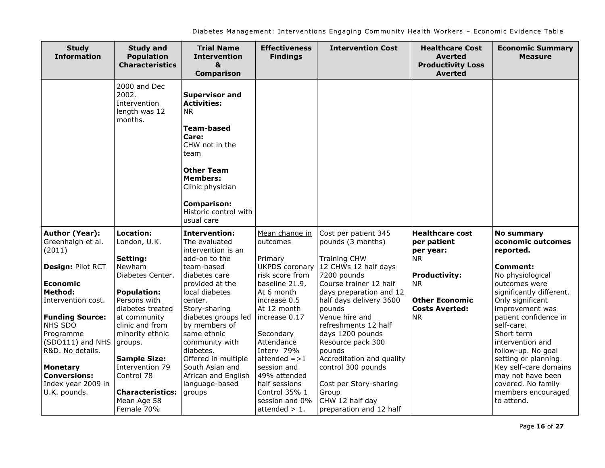| <b>Study</b><br><b>Information</b>                                                                                                                                                                                                                                                                             | <b>Study and</b><br><b>Population</b><br><b>Characteristics</b>                                                                                                                                                                                                                                                | <b>Trial Name</b><br><b>Intervention</b><br>$\boldsymbol{8}$<br><b>Comparison</b>                                                                                                                                                                                                                                                                               | <b>Effectiveness</b><br><b>Findings</b>                                                                                                                                                                                                                                                                                              | <b>Intervention Cost</b>                                                                                                                                                                                                                                                                                                                                                                                                           | <b>Healthcare Cost</b><br><b>Averted</b><br><b>Productivity Loss</b><br><b>Averted</b>                                                                              | <b>Economic Summary</b><br><b>Measure</b>                                                                                                                                                                                                                                                                                                                                                                     |
|----------------------------------------------------------------------------------------------------------------------------------------------------------------------------------------------------------------------------------------------------------------------------------------------------------------|----------------------------------------------------------------------------------------------------------------------------------------------------------------------------------------------------------------------------------------------------------------------------------------------------------------|-----------------------------------------------------------------------------------------------------------------------------------------------------------------------------------------------------------------------------------------------------------------------------------------------------------------------------------------------------------------|--------------------------------------------------------------------------------------------------------------------------------------------------------------------------------------------------------------------------------------------------------------------------------------------------------------------------------------|------------------------------------------------------------------------------------------------------------------------------------------------------------------------------------------------------------------------------------------------------------------------------------------------------------------------------------------------------------------------------------------------------------------------------------|---------------------------------------------------------------------------------------------------------------------------------------------------------------------|---------------------------------------------------------------------------------------------------------------------------------------------------------------------------------------------------------------------------------------------------------------------------------------------------------------------------------------------------------------------------------------------------------------|
|                                                                                                                                                                                                                                                                                                                | 2000 and Dec<br>2002.<br>Intervention<br>length was 12<br>months.                                                                                                                                                                                                                                              | <b>Supervisor and</b><br><b>Activities:</b><br><b>NR</b><br><b>Team-based</b><br>Care:<br>CHW not in the<br>team<br><b>Other Team</b><br><b>Members:</b><br>Clinic physician<br><b>Comparison:</b><br>Historic control with<br>usual care                                                                                                                       |                                                                                                                                                                                                                                                                                                                                      |                                                                                                                                                                                                                                                                                                                                                                                                                                    |                                                                                                                                                                     |                                                                                                                                                                                                                                                                                                                                                                                                               |
| <b>Author (Year):</b><br>Greenhalgh et al.<br>(2011)<br>Design: Pilot RCT<br><b>Economic</b><br><b>Method:</b><br>Intervention cost.<br><b>Funding Source:</b><br>NHS SDO<br>Programme<br>(SDO111) and NHS<br>R&D. No details.<br><b>Monetary</b><br><b>Conversions:</b><br>Index year 2009 in<br>U.K. pounds. | Location:<br>London, U.K.<br>Setting:<br>Newham<br>Diabetes Center.<br><b>Population:</b><br>Persons with<br>diabetes treated<br>at community<br>clinic and from<br>minority ethnic<br>groups.<br><b>Sample Size:</b><br>Intervention 79<br>Control 78<br><b>Characteristics:</b><br>Mean Age 58<br>Female 70% | <b>Intervention:</b><br>The evaluated<br>intervention is an<br>add-on to the<br>team-based<br>diabetes care<br>provided at the<br>local diabetes<br>center.<br>Story-sharing<br>diabetes groups led<br>by members of<br>same ethnic<br>community with<br>diabetes.<br>Offered in multiple<br>South Asian and<br>African and English<br>language-based<br>groups | Mean change in<br>outcomes<br>Primary<br><b>UKPDS</b> coronary<br>risk score from<br>baseline 21.9,<br>At 6 month<br>increase 0.5<br>At 12 month<br>increase 0.17<br>Secondary<br>Attendance<br>Interv 79%<br>$attended = >1$<br>session and<br>49% attended<br>half sessions<br>Control 35% 1<br>session and 0%<br>attended $> 1$ . | Cost per patient 345<br>pounds (3 months)<br><b>Training CHW</b><br>12 CHWs 12 half days<br>7200 pounds<br>Course trainer 12 half<br>days preparation and 12<br>half days delivery 3600<br>pounds<br>Venue hire and<br>refreshments 12 half<br>days 1200 pounds<br>Resource pack 300<br>pounds<br>Accreditation and quality<br>control 300 pounds<br>Cost per Story-sharing<br>Group<br>CHW 12 half day<br>preparation and 12 half | <b>Healthcare cost</b><br>per patient<br>per year:<br><b>NR</b><br><b>Productivity:</b><br><b>NR</b><br><b>Other Economic</b><br><b>Costs Averted:</b><br><b>NR</b> | <b>No summary</b><br>economic outcomes<br>reported.<br><b>Comment:</b><br>No physiological<br>outcomes were<br>significantly different.<br>Only significant<br>improvement was<br>patient confidence in<br>self-care.<br>Short term<br>intervention and<br>follow-up. No goal<br>setting or planning.<br>Key self-care domains<br>may not have been<br>covered. No family<br>members encouraged<br>to attend. |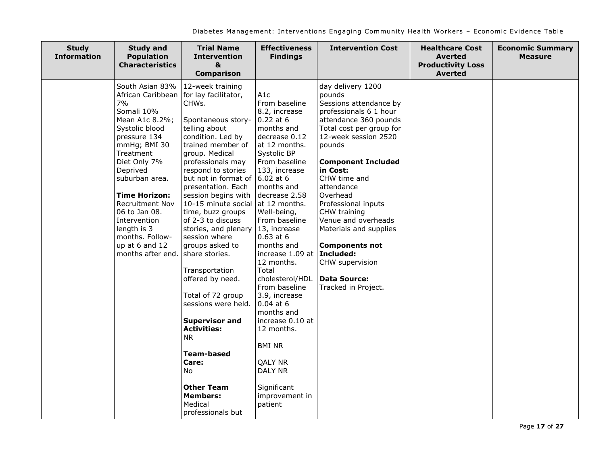| <b>Study</b><br><b>Information</b> | <b>Study and</b><br><b>Population</b><br><b>Characteristics</b>                                                                                                                                                                                                                                                            | <b>Trial Name</b><br><b>Intervention</b><br>&<br><b>Comparison</b>                                                                                                                                                                                                                                                                                                                                                                                                                                                                                                                                                                                                            | <b>Effectiveness</b><br><b>Findings</b>                                                                                                                                                                                                                                                                                                                                                                                                                                                                                                                    | <b>Intervention Cost</b>                                                                                                                                                                                                                                                                                                                                                                                                                                 | <b>Healthcare Cost</b><br><b>Averted</b><br><b>Productivity Loss</b><br>Averted | <b>Economic Summary</b><br><b>Measure</b> |
|------------------------------------|----------------------------------------------------------------------------------------------------------------------------------------------------------------------------------------------------------------------------------------------------------------------------------------------------------------------------|-------------------------------------------------------------------------------------------------------------------------------------------------------------------------------------------------------------------------------------------------------------------------------------------------------------------------------------------------------------------------------------------------------------------------------------------------------------------------------------------------------------------------------------------------------------------------------------------------------------------------------------------------------------------------------|------------------------------------------------------------------------------------------------------------------------------------------------------------------------------------------------------------------------------------------------------------------------------------------------------------------------------------------------------------------------------------------------------------------------------------------------------------------------------------------------------------------------------------------------------------|----------------------------------------------------------------------------------------------------------------------------------------------------------------------------------------------------------------------------------------------------------------------------------------------------------------------------------------------------------------------------------------------------------------------------------------------------------|---------------------------------------------------------------------------------|-------------------------------------------|
| 7%<br>Deprived                     | South Asian 83%<br>African Caribbean<br>Somali 10%<br>Mean A1c 8.2%;<br>Systolic blood<br>pressure 134<br>mmHg; BMI 30<br>Treatment<br>Diet Only 7%<br>suburban area.<br><b>Time Horizon:</b><br>Recruitment Nov<br>06 to Jan 08.<br>Intervention<br>length is 3<br>months. Follow-<br>up at 6 and 12<br>months after end. | 12-week training<br>for lay facilitator,<br>CHWs.<br>Spontaneous story-<br>telling about<br>condition. Led by<br>trained member of<br>group. Medical<br>professionals may<br>respond to stories<br>but not in format of<br>presentation. Each<br>session begins with<br>10-15 minute social<br>time, buzz groups<br>of 2-3 to discuss<br>stories, and plenary<br>session where<br>groups asked to<br>share stories.<br>Transportation<br>offered by need.<br>Total of 72 group<br>sessions were held.<br><b>Supervisor and</b><br><b>Activities:</b><br><b>NR</b><br><b>Team-based</b><br>Care:<br>No<br><b>Other Team</b><br><b>Members:</b><br>Medical<br>professionals but | A1c<br>From baseline<br>8.2, increase<br>$0.22$ at 6<br>months and<br>decrease 0.12<br>at 12 months.<br>Systolic BP<br>From baseline<br>133, increase<br>6.02 at 6<br>months and<br>decrease 2.58<br>at 12 months.<br>Well-being,<br>From baseline<br>13, increase<br>$0.63$ at 6<br>months and<br>increase 1.09 at<br>12 months.<br>Total<br>cholesterol/HDL<br>From baseline<br>3.9, increase<br>$0.04$ at $6$<br>months and<br>increase 0.10 at<br>12 months.<br><b>BMI NR</b><br>QALY NR<br><b>DALY NR</b><br>Significant<br>improvement in<br>patient | day delivery 1200<br>pounds<br>Sessions attendance by<br>professionals 6 1 hour<br>attendance 360 pounds<br>Total cost per group for<br>12-week session 2520<br>pounds<br><b>Component Included</b><br>in Cost:<br>CHW time and<br>attendance<br>Overhead<br>Professional inputs<br>CHW training<br>Venue and overheads<br>Materials and supplies<br><b>Components not</b><br>Included:<br>CHW supervision<br><b>Data Source:</b><br>Tracked in Project. |                                                                                 |                                           |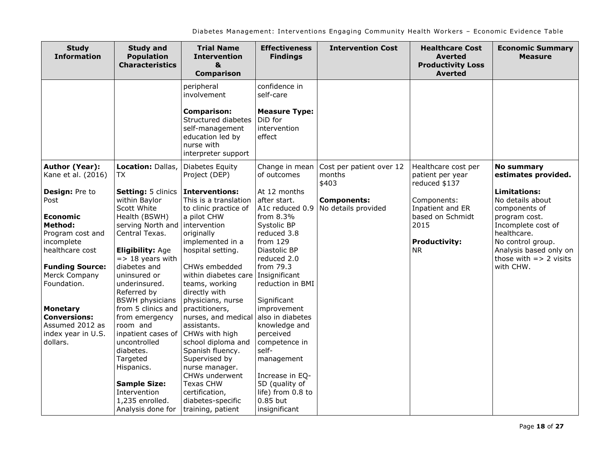| <b>Study and</b><br><b>Population</b><br><b>Characteristics</b>                                                                                                                                                                                        | <b>Trial Name</b><br><b>Intervention</b><br>&<br><b>Comparison</b>                                                                                                                                                                     | <b>Effectiveness</b><br><b>Findings</b>                                                                                                                                                 | <b>Intervention Cost</b>                                             | <b>Healthcare Cost</b><br><b>Averted</b><br><b>Productivity Loss</b><br><b>Averted</b>           | <b>Economic Summary</b><br><b>Measure</b>                                                                                                                                                                       |
|--------------------------------------------------------------------------------------------------------------------------------------------------------------------------------------------------------------------------------------------------------|----------------------------------------------------------------------------------------------------------------------------------------------------------------------------------------------------------------------------------------|-----------------------------------------------------------------------------------------------------------------------------------------------------------------------------------------|----------------------------------------------------------------------|--------------------------------------------------------------------------------------------------|-----------------------------------------------------------------------------------------------------------------------------------------------------------------------------------------------------------------|
|                                                                                                                                                                                                                                                        | peripheral<br>involvement                                                                                                                                                                                                              | confidence in<br>self-care                                                                                                                                                              |                                                                      |                                                                                                  |                                                                                                                                                                                                                 |
|                                                                                                                                                                                                                                                        | <b>Comparison:</b><br>Structured diabetes<br>self-management<br>education led by<br>nurse with<br>interpreter support                                                                                                                  | <b>Measure Type:</b><br>DiD for<br>intervention<br>effect                                                                                                                               |                                                                      |                                                                                                  |                                                                                                                                                                                                                 |
| Location: Dallas,<br>TX                                                                                                                                                                                                                                | Diabetes Equity<br>Project (DEP)                                                                                                                                                                                                       | Change in mean<br>of outcomes                                                                                                                                                           | Cost per patient over 12<br>months                                   | Healthcare cost per<br>patient per year                                                          | <b>No summary</b><br>estimates provided.                                                                                                                                                                        |
| Setting: 5 clinics<br>within Baylor<br>Scott White<br>Health (BSWH)<br>serving North and<br>Central Texas.<br><b>Eligibility: Age</b><br>$=$ > 18 years with<br>diabetes and<br>uninsured or<br>underinsured.<br>Referred by<br><b>BSWH physicians</b> | <b>Interventions:</b><br>This is a translation<br>to clinic practice of<br>a pilot CHW<br>intervention<br>originally<br>implemented in a<br>hospital setting.<br>CHWs embedded<br>teams, working<br>directly with<br>physicians, nurse | At 12 months<br>after start.<br>A1c reduced 0.9<br>from 8.3%<br>Systolic BP<br>reduced 3.8<br>from $129$<br>Diastolic BP<br>reduced 2.0<br>from 79.3<br>reduction in BMI<br>Significant | <b>Components:</b><br>No details provided                            | Components:<br>Inpatient and ER<br>based on Schmidt<br>2015<br><b>Productivity:</b><br><b>NR</b> | <b>Limitations:</b><br>No details about<br>components of<br>program cost.<br>Incomplete cost of<br>healthcare.<br>No control group.<br>Analysis based only on<br>those with $\Rightarrow$ 2 visits<br>with CHW. |
| from emergency<br>room and<br>inpatient cases of<br>uncontrolled<br>diabetes.<br>Targeted<br>Hispanics.<br><b>Sample Size:</b><br>Intervention<br>1,235 enrolled.                                                                                      | nurses, and medical<br>assistants.<br>CHWs with high<br>school diploma and<br>Spanish fluency.<br>Supervised by<br>nurse manager.<br>CHWs underwent<br><b>Texas CHW</b><br>certification,<br>diabetes-specific                         | also in diabetes<br>knowledge and<br>perceived<br>competence in<br>self-<br>management<br>Increase in EQ-<br>5D (quality of<br>life) from 0.8 to<br>0.85 but                            |                                                                      |                                                                                                  |                                                                                                                                                                                                                 |
|                                                                                                                                                                                                                                                        | from 5 clinics and<br>Analysis done for                                                                                                                                                                                                | practitioners,<br>training, patient                                                                                                                                                     | within diabetes care   Insignificant<br>improvement<br>insignificant | \$403                                                                                            | reduced \$137                                                                                                                                                                                                   |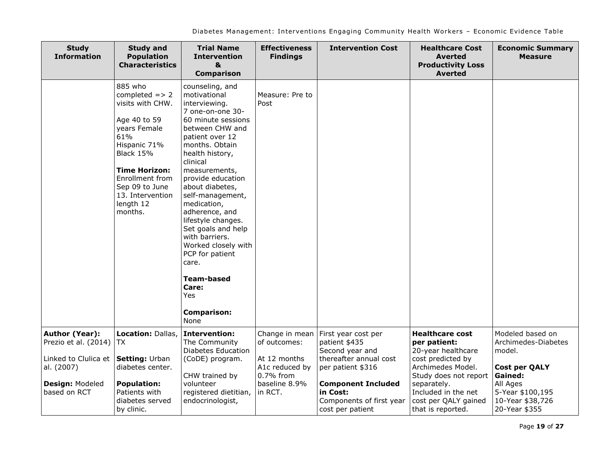| <b>Study</b><br><b>Information</b>                                                                                     | <b>Study and</b><br><b>Population</b><br><b>Characteristics</b>                                                                                                                                                                     | <b>Trial Name</b><br><b>Intervention</b><br>&<br><b>Comparison</b>                                                                                                                                                                                                                                                                                                                                                                                                                  | <b>Effectiveness</b><br><b>Findings</b>                                                                   | <b>Intervention Cost</b>                                                                                                                        | <b>Healthcare Cost</b><br><b>Averted</b><br><b>Productivity Loss</b><br><b>Averted</b>                                                                                | <b>Economic Summary</b><br><b>Measure</b>                                                                            |
|------------------------------------------------------------------------------------------------------------------------|-------------------------------------------------------------------------------------------------------------------------------------------------------------------------------------------------------------------------------------|-------------------------------------------------------------------------------------------------------------------------------------------------------------------------------------------------------------------------------------------------------------------------------------------------------------------------------------------------------------------------------------------------------------------------------------------------------------------------------------|-----------------------------------------------------------------------------------------------------------|-------------------------------------------------------------------------------------------------------------------------------------------------|-----------------------------------------------------------------------------------------------------------------------------------------------------------------------|----------------------------------------------------------------------------------------------------------------------|
|                                                                                                                        | 885 who<br>completed $=> 2$<br>visits with CHW.<br>Age 40 to 59<br>years Female<br>61%<br>Hispanic 71%<br><b>Black 15%</b><br><b>Time Horizon:</b><br>Enrollment from<br>Sep 09 to June<br>13. Intervention<br>length 12<br>months. | counseling, and<br>motivational<br>interviewing.<br>7 one-on-one 30-<br>60 minute sessions<br>between CHW and<br>patient over 12<br>months. Obtain<br>health history,<br>clinical<br>measurements,<br>provide education<br>about diabetes,<br>self-management,<br>medication,<br>adherence, and<br>lifestyle changes.<br>Set goals and help<br>with barriers.<br>Worked closely with<br>PCP for patient<br>care.<br><b>Team-based</b><br>Care:<br>Yes<br><b>Comparison:</b><br>None | Measure: Pre to<br>Post                                                                                   |                                                                                                                                                 |                                                                                                                                                                       |                                                                                                                      |
| Author (Year):<br>Prezio et al. (2014)<br>Linked to Clulica et<br>al. (2007)<br><b>Design: Modeled</b><br>based on RCT | Location: Dallas,<br>TX.<br>Setting: Urban<br>diabetes center.<br><b>Population:</b><br>Patients with                                                                                                                               | <b>Intervention:</b><br>The Community<br><b>Diabetes Education</b><br>(CoDE) program.<br>CHW trained by<br>volunteer<br>registered dietitian,                                                                                                                                                                                                                                                                                                                                       | Change in mean<br>of outcomes:<br>At 12 months<br>A1c reduced by<br>0.7% from<br>baseline 8.9%<br>in RCT. | First year cost per<br>patient \$435<br>Second year and<br>thereafter annual cost<br>per patient \$316<br><b>Component Included</b><br>in Cost: | <b>Healthcare cost</b><br>per patient:<br>20-year healthcare<br>cost predicted by<br>Archimedes Model.<br>Study does not report<br>separately.<br>Included in the net | Modeled based on<br>Archimedes-Diabetes<br>model.<br><b>Cost per QALY</b><br>Gained:<br>All Ages<br>5-Year \$100,195 |
|                                                                                                                        | diabetes served<br>by clinic.                                                                                                                                                                                                       | endocrinologist,                                                                                                                                                                                                                                                                                                                                                                                                                                                                    |                                                                                                           | Components of first year<br>cost per patient                                                                                                    | cost per QALY gained<br>that is reported.                                                                                                                             | 10-Year \$38,726<br>20-Year \$355                                                                                    |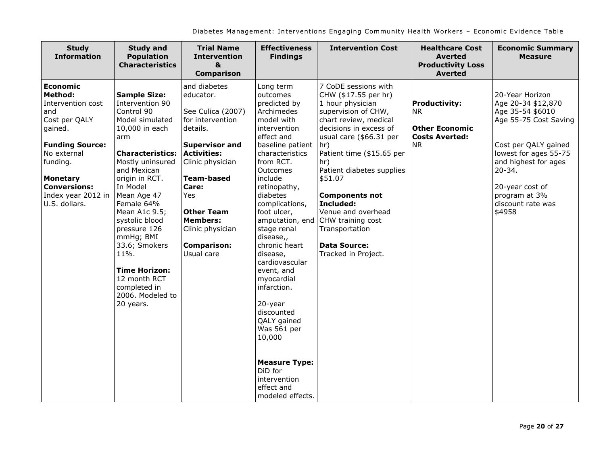| <b>Study</b><br><b>Information</b>                                                                                                                                                                                       | <b>Study and</b><br><b>Population</b><br><b>Characteristics</b>                                                                                                                                                                                                                                                                                                                                             | <b>Trial Name</b><br><b>Intervention</b><br>$\mathbf{a}$<br><b>Comparison</b>                                                                                                                                                                                                          | <b>Effectiveness</b><br><b>Findings</b>                                                                                                                                                                                                                                                                                                                                                                                                                                                                                                | <b>Intervention Cost</b>                                                                                                                                                                                                                                                                                                                                                                                  | <b>Healthcare Cost</b><br><b>Averted</b><br><b>Productivity Loss</b><br><b>Averted</b>           | <b>Economic Summary</b><br><b>Measure</b>                                                                                                                                                                                                    |
|--------------------------------------------------------------------------------------------------------------------------------------------------------------------------------------------------------------------------|-------------------------------------------------------------------------------------------------------------------------------------------------------------------------------------------------------------------------------------------------------------------------------------------------------------------------------------------------------------------------------------------------------------|----------------------------------------------------------------------------------------------------------------------------------------------------------------------------------------------------------------------------------------------------------------------------------------|----------------------------------------------------------------------------------------------------------------------------------------------------------------------------------------------------------------------------------------------------------------------------------------------------------------------------------------------------------------------------------------------------------------------------------------------------------------------------------------------------------------------------------------|-----------------------------------------------------------------------------------------------------------------------------------------------------------------------------------------------------------------------------------------------------------------------------------------------------------------------------------------------------------------------------------------------------------|--------------------------------------------------------------------------------------------------|----------------------------------------------------------------------------------------------------------------------------------------------------------------------------------------------------------------------------------------------|
| <b>Economic</b><br>Method:<br>Intervention cost<br>and<br>Cost per QALY<br>gained.<br><b>Funding Source:</b><br>No external<br>funding.<br><b>Monetary</b><br><b>Conversions:</b><br>Index year 2012 in<br>U.S. dollars. | <b>Sample Size:</b><br>Intervention 90<br>Control 90<br>Model simulated<br>10,000 in each<br>arm<br><b>Characteristics:</b><br>Mostly uninsured<br>and Mexican<br>origin in RCT.<br>In Model<br>Mean Age 47<br>Female 64%<br>Mean A1c 9.5;<br>systolic blood<br>pressure 126<br>mmHg; BMI<br>33.6; Smokers<br>11%.<br><b>Time Horizon:</b><br>12 month RCT<br>completed in<br>2006. Modeled to<br>20 years. | and diabetes<br>educator.<br>See Culica (2007)<br>for intervention<br>details.<br><b>Supervisor and</b><br><b>Activities:</b><br>Clinic physician<br><b>Team-based</b><br>Care:<br>Yes<br><b>Other Team</b><br><b>Members:</b><br>Clinic physician<br><b>Comparison:</b><br>Usual care | Long term<br>outcomes<br>predicted by<br>Archimedes<br>model with<br>intervention<br>effect and<br>baseline patient<br>characteristics<br>from RCT.<br>Outcomes<br>include<br>retinopathy,<br>diabetes<br>complications,<br>foot ulcer,<br>amputation, end<br>stage renal<br>disease,,<br>chronic heart<br>disease,<br>cardiovascular<br>event, and<br>myocardial<br>infarction.<br>20-year<br>discounted<br>QALY gained<br>Was 561 per<br>10,000<br><b>Measure Type:</b><br>DiD for<br>intervention<br>effect and<br>modeled effects. | 7 CoDE sessions with<br>CHW (\$17.55 per hr)<br>1 hour physician<br>supervision of CHW,<br>chart review, medical<br>decisions in excess of<br>usual care (\$66.31 per<br>hr)<br>Patient time (\$15.65 per<br>hr)<br>Patient diabetes supplies<br>\$51.07<br><b>Components not</b><br>Included:<br>Venue and overhead<br>CHW training cost<br>Transportation<br><b>Data Source:</b><br>Tracked in Project. | <b>Productivity:</b><br><b>NR</b><br><b>Other Economic</b><br><b>Costs Averted:</b><br><b>NR</b> | 20-Year Horizon<br>Age 20-34 \$12,870<br>Age 35-54 \$6010<br>Age 55-75 Cost Saving<br>Cost per QALY gained<br>lowest for ages 55-75<br>and highest for ages<br>$20 - 34.$<br>20-year cost of<br>program at 3%<br>discount rate was<br>\$4958 |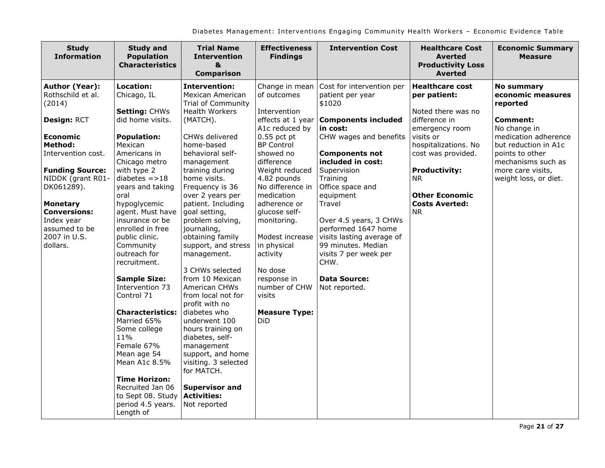| <b>Study</b><br><b>Information</b>                                                                                                                                                                                                                                                               | <b>Study and</b><br><b>Population</b><br><b>Characteristics</b>                                                                                                                                                                                                                                                                                                                                                                                                                                                                                                                                                     | <b>Trial Name</b><br><b>Intervention</b><br>&<br><b>Comparison</b>                                                                                                                                                                                                                                                                                                                                                                                                                                                                                                                                                                                                                                         | <b>Effectiveness</b><br><b>Findings</b>                                                                                                                                                                                                                                                                                                                                                                    | <b>Intervention Cost</b>                                                                                                                                                                                                                                                                                                                                                                                                     | <b>Healthcare Cost</b><br><b>Averted</b><br><b>Productivity Loss</b><br><b>Averted</b>                                                                                                                                                                         | <b>Economic Summary</b><br><b>Measure</b>                                                                                                                                                                                    |
|--------------------------------------------------------------------------------------------------------------------------------------------------------------------------------------------------------------------------------------------------------------------------------------------------|---------------------------------------------------------------------------------------------------------------------------------------------------------------------------------------------------------------------------------------------------------------------------------------------------------------------------------------------------------------------------------------------------------------------------------------------------------------------------------------------------------------------------------------------------------------------------------------------------------------------|------------------------------------------------------------------------------------------------------------------------------------------------------------------------------------------------------------------------------------------------------------------------------------------------------------------------------------------------------------------------------------------------------------------------------------------------------------------------------------------------------------------------------------------------------------------------------------------------------------------------------------------------------------------------------------------------------------|------------------------------------------------------------------------------------------------------------------------------------------------------------------------------------------------------------------------------------------------------------------------------------------------------------------------------------------------------------------------------------------------------------|------------------------------------------------------------------------------------------------------------------------------------------------------------------------------------------------------------------------------------------------------------------------------------------------------------------------------------------------------------------------------------------------------------------------------|----------------------------------------------------------------------------------------------------------------------------------------------------------------------------------------------------------------------------------------------------------------|------------------------------------------------------------------------------------------------------------------------------------------------------------------------------------------------------------------------------|
| <b>Author (Year):</b><br>Rothschild et al.<br>(2014)<br>Design: RCT<br><b>Economic</b><br><b>Method:</b><br>Intervention cost.<br><b>Funding Source:</b><br>NIDDK (grant R01-<br>DK061289).<br><b>Monetary</b><br><b>Conversions:</b><br>Index year<br>assumed to be<br>2007 in U.S.<br>dollars. | <b>Location:</b><br>Chicago, IL<br><b>Setting: CHWs</b><br>did home visits.<br><b>Population:</b><br>Mexican<br>Americans in<br>Chicago metro<br>with type 2<br>diabetes $=$ >18<br>years and taking<br>oral<br>hypoglycemic<br>agent. Must have<br>insurance or be<br>enrolled in free<br>public clinic.<br>Community<br>outreach for<br>recruitment.<br><b>Sample Size:</b><br>Intervention 73<br>Control 71<br><b>Characteristics:</b><br>Married 65%<br>Some college<br>11%<br>Female 67%<br>Mean age 54<br>Mean A1c 8.5%<br><b>Time Horizon:</b><br>Recruited Jan 06<br>to Sept 08. Study<br>period 4.5 years. | <b>Intervention:</b><br>Mexican American<br><b>Trial of Community</b><br><b>Health Workers</b><br>(MATCH).<br>CHWs delivered<br>home-based<br>behavioral self-<br>management<br>training during<br>home visits.<br>Frequency is 36<br>over 2 years per<br>patient. Including<br>goal setting,<br>problem solving,<br>journaling,<br>obtaining family<br>support, and stress<br>management.<br>3 CHWs selected<br>from 10 Mexican<br>American CHWs<br>from local not for<br>profit with no<br>diabetes who<br>underwent 100<br>hours training on<br>diabetes, self-<br>management<br>support, and home<br>visiting. 3 selected<br>for MATCH.<br><b>Supervisor and</b><br><b>Activities:</b><br>Not reported | Change in mean<br>of outcomes<br>Intervention<br>effects at 1 year<br>A1c reduced by<br>$0.55$ pct pt<br><b>BP Control</b><br>showed no<br>difference<br>Weight reduced<br>4.82 pounds<br>No difference in<br>medication<br>adherence or<br>glucose self-<br>monitoring.<br>Modest increase<br>in physical<br>activity<br>No dose<br>response in<br>number of CHW<br>visits<br><b>Measure Type:</b><br>DiD | Cost for intervention per<br>patient per year<br>\$1020<br><b>Components included</b><br>in cost:<br>CHW wages and benefits<br><b>Components not</b><br>included in cost:<br>Supervision<br>Training<br>Office space and<br>equipment<br>Travel<br>Over 4.5 years, 3 CHWs<br>performed 1647 home<br>visits lasting average of<br>99 minutes. Median<br>visits 7 per week per<br>CHW.<br><b>Data Source:</b><br>Not reported. | <b>Healthcare cost</b><br>per patient:<br>Noted there was no<br>difference in<br>emergency room<br>visits or<br>hospitalizations. No<br>cost was provided.<br><b>Productivity:</b><br><b>NR</b><br><b>Other Economic</b><br><b>Costs Averted:</b><br><b>NR</b> | <b>No summary</b><br>economic measures<br>reported<br><b>Comment:</b><br>No change in<br>medication adherence<br>but reduction in A1c<br>points to other<br>mechanisms such as<br>more care visits,<br>weight loss, or diet. |
|                                                                                                                                                                                                                                                                                                  | Length of                                                                                                                                                                                                                                                                                                                                                                                                                                                                                                                                                                                                           |                                                                                                                                                                                                                                                                                                                                                                                                                                                                                                                                                                                                                                                                                                            |                                                                                                                                                                                                                                                                                                                                                                                                            |                                                                                                                                                                                                                                                                                                                                                                                                                              |                                                                                                                                                                                                                                                                |                                                                                                                                                                                                                              |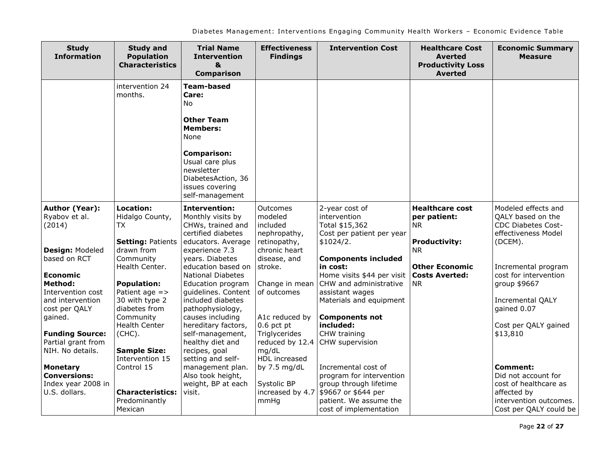| <b>Study</b><br><b>Information</b>                                                                            | <b>Study and</b><br><b>Population</b><br><b>Characteristics</b>                                        | <b>Trial Name</b><br><b>Intervention</b><br>&<br><b>Comparison</b>                                                                                                                                   | <b>Effectiveness</b><br><b>Findings</b>                                     | <b>Intervention Cost</b>                                                                                                                             | <b>Healthcare Cost</b><br><b>Averted</b><br><b>Productivity Loss</b><br><b>Averted</b> | <b>Economic Summary</b><br><b>Measure</b>                                                                                   |
|---------------------------------------------------------------------------------------------------------------|--------------------------------------------------------------------------------------------------------|------------------------------------------------------------------------------------------------------------------------------------------------------------------------------------------------------|-----------------------------------------------------------------------------|------------------------------------------------------------------------------------------------------------------------------------------------------|----------------------------------------------------------------------------------------|-----------------------------------------------------------------------------------------------------------------------------|
|                                                                                                               | intervention 24<br>months.                                                                             | <b>Team-based</b><br>Care:<br>No.<br><b>Other Team</b><br><b>Members:</b><br>None<br><b>Comparison:</b><br>Usual care plus<br>newsletter<br>DiabetesAction, 36<br>issues covering<br>self-management |                                                                             |                                                                                                                                                      |                                                                                        |                                                                                                                             |
| <b>Author (Year):</b><br>Ryabov et al.<br>(2014)                                                              | Location:<br>Hidalgo County,<br>TX<br><b>Setting: Patients</b>                                         | <b>Intervention:</b><br>Monthly visits by<br>CHWs, trained and<br>certified diabetes<br>educators. Average                                                                                           | Outcomes<br>modeled<br>included<br>nephropathy,<br>retinopathy,             | 2-year cost of<br>intervention<br>Total \$15,362<br>Cost per patient per year<br>\$1024/2.                                                           | <b>Healthcare cost</b><br>per patient:<br><b>NR</b><br><b>Productivity:</b>            | Modeled effects and<br>QALY based on the<br>CDC Diabetes Cost-<br>effectiveness Model<br>(DCEM).                            |
| <b>Design: Modeled</b><br>based on RCT<br>Economic<br><b>Method:</b><br>Intervention cost<br>and intervention | drawn from<br>Community<br>Health Center.<br><b>Population:</b><br>Patient age $=$ ><br>30 with type 2 | experience 7.3<br>years. Diabetes<br>education based on<br><b>National Diabetes</b><br>Education program<br>quidelines. Content<br>included diabetes                                                 | chronic heart<br>disease, and<br>stroke.<br>Change in mean<br>of outcomes   | <b>Components included</b><br>in cost:<br>Home visits \$44 per visit<br>CHW and administrative<br>assistant wages<br>Materials and equipment         | NR.<br><b>Other Economic</b><br><b>Costs Averted:</b><br><b>NR</b>                     | Incremental program<br>cost for intervention<br>group \$9667<br><b>Incremental QALY</b>                                     |
| cost per QALY<br>gained.<br><b>Funding Source:</b><br>Partial grant from<br>NIH. No details.                  | diabetes from<br>Community<br>Health Center<br>(CHC).<br><b>Sample Size:</b>                           | pathophysiology,<br>causes including<br>hereditary factors,<br>self-management,<br>healthy diet and<br>recipes, goal                                                                                 | A1c reduced by<br>$0.6$ pct pt<br>Triglycerides<br>reduced by 12.4<br>mg/dL | <b>Components not</b><br>included:<br>CHW training<br>CHW supervision                                                                                |                                                                                        | gained 0.07<br>Cost per QALY gained<br>\$13,810                                                                             |
| <b>Monetary</b><br><b>Conversions:</b><br>Index year 2008 in<br>U.S. dollars.                                 | Intervention 15<br>Control 15<br><b>Characteristics:</b><br>Predominantly<br>Mexican                   | setting and self-<br>management plan.<br>Also took height,<br>weight, BP at each<br>visit.                                                                                                           | HDL increased<br>by 7.5 mg/dL<br>Systolic BP<br>increased by 4.7<br>mmHq    | Incremental cost of<br>program for intervention<br>group through lifetime<br>\$9667 or \$644 per<br>patient. We assume the<br>cost of implementation |                                                                                        | Comment:<br>Did not account for<br>cost of healthcare as<br>affected by<br>intervention outcomes.<br>Cost per QALY could be |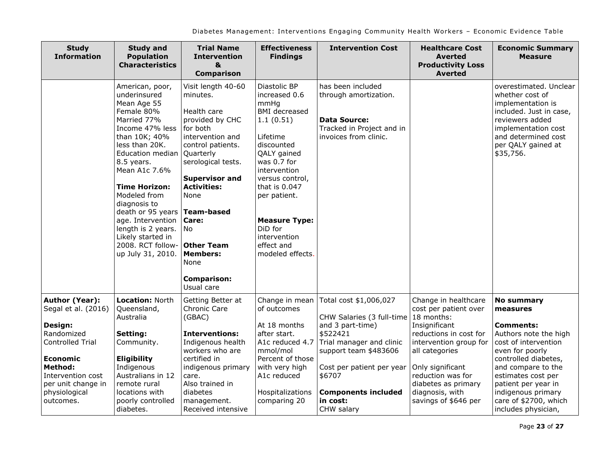| <b>Study</b><br><b>Information</b>                                                                                  | <b>Study and</b><br><b>Population</b><br><b>Characteristics</b>                                                                                                                                                                                                                                                                                                                    | <b>Trial Name</b><br><b>Intervention</b><br>&<br><b>Comparison</b>                                                                                                                                                                                                                                                               | <b>Effectiveness</b><br><b>Findings</b>                                                                                                                                                                                                                                                     | <b>Intervention Cost</b>                                                                                                                 | <b>Healthcare Cost</b><br><b>Averted</b><br><b>Productivity Loss</b><br><b>Averted</b>                                                             | <b>Economic Summary</b><br><b>Measure</b>                                                                                                                                                     |
|---------------------------------------------------------------------------------------------------------------------|------------------------------------------------------------------------------------------------------------------------------------------------------------------------------------------------------------------------------------------------------------------------------------------------------------------------------------------------------------------------------------|----------------------------------------------------------------------------------------------------------------------------------------------------------------------------------------------------------------------------------------------------------------------------------------------------------------------------------|---------------------------------------------------------------------------------------------------------------------------------------------------------------------------------------------------------------------------------------------------------------------------------------------|------------------------------------------------------------------------------------------------------------------------------------------|----------------------------------------------------------------------------------------------------------------------------------------------------|-----------------------------------------------------------------------------------------------------------------------------------------------------------------------------------------------|
|                                                                                                                     | American, poor,<br>underinsured<br>Mean Age 55<br>Female 80%<br>Married 77%<br>Income 47% less<br>than 10K; 40%<br>less than 20K.<br><b>Education median</b><br>8.5 years.<br>Mean A1c 7.6%<br><b>Time Horizon:</b><br>Modeled from<br>diagnosis to<br>death or 95 years<br>age. Intervention<br>length is 2 years.<br>Likely started in<br>2008. RCT follow-<br>up July 31, 2010. | Visit length 40-60<br>minutes.<br>Health care<br>provided by CHC<br>for both<br>intervention and<br>control patients.<br>Quarterly<br>serological tests.<br><b>Supervisor and</b><br><b>Activities:</b><br>None<br>Team-based<br>Care:<br>No<br><b>Other Team</b><br><b>Members:</b><br>None<br><b>Comparison:</b><br>Usual care | Diastolic BP<br>increased 0.6<br>mmHq<br><b>BMI</b> decreased<br>1.1(0.51)<br>Lifetime<br>discounted<br>QALY gained<br>was 0.7 for<br>intervention<br>versus control,<br>that is 0.047<br>per patient.<br><b>Measure Type:</b><br>DiD for<br>intervention<br>effect and<br>modeled effects. | has been included<br>through amortization.<br><b>Data Source:</b><br>Tracked in Project and in<br>invoices from clinic.                  |                                                                                                                                                    | overestimated. Unclear<br>whether cost of<br>implementation is<br>included. Just in case,<br>reviewers added<br>implementation cost<br>and determined cost<br>per QALY gained at<br>\$35,756. |
| <b>Author (Year):</b><br>Segal et al. (2016)<br>Design:<br>Randomized<br><b>Controlled Trial</b><br><b>Economic</b> | Location: North<br>Queensland,<br>Australia<br>Setting:<br>Community.<br><b>Eligibility</b>                                                                                                                                                                                                                                                                                        | Getting Better at<br>Chronic Care<br>(GBAC)<br><b>Interventions:</b><br>Indigenous health<br>workers who are<br>certified in                                                                                                                                                                                                     | Change in mean<br>of outcomes<br>At 18 months<br>after start.<br>A1c reduced 4.7<br>mmol/mol<br>Percent of those                                                                                                                                                                            | Total cost \$1,006,027<br>CHW Salaries (3 full-time<br>and 3 part-time)<br>\$522421<br>Trial manager and clinic<br>support team \$483606 | Change in healthcare<br>cost per patient over<br>18 months:<br>Insignificant<br>reductions in cost for<br>intervention group for<br>all categories | <b>No summary</b><br>measures<br><b>Comments:</b><br>Authors note the high<br>cost of intervention<br>even for poorly<br>controlled diabetes,                                                 |
| <b>Method:</b><br>Intervention cost<br>per unit change in<br>physiological<br>outcomes.                             | Indigenous<br>Australians in 12<br>remote rural<br>locations with<br>poorly controlled<br>diabetes.                                                                                                                                                                                                                                                                                | indigenous primary<br>care.<br>Also trained in<br>diabetes<br>management.<br>Received intensive                                                                                                                                                                                                                                  | with very high<br>A1c reduced<br>Hospitalizations<br>comparing 20                                                                                                                                                                                                                           | Cost per patient per year<br>\$6707<br><b>Components included</b><br>in cost:<br>CHW salary                                              | Only significant<br>reduction was for<br>diabetes as primary<br>diagnosis, with<br>savings of \$646 per                                            | and compare to the<br>estimates cost per<br>patient per year in<br>indigenous primary<br>care of \$2700, which<br>includes physician,                                                         |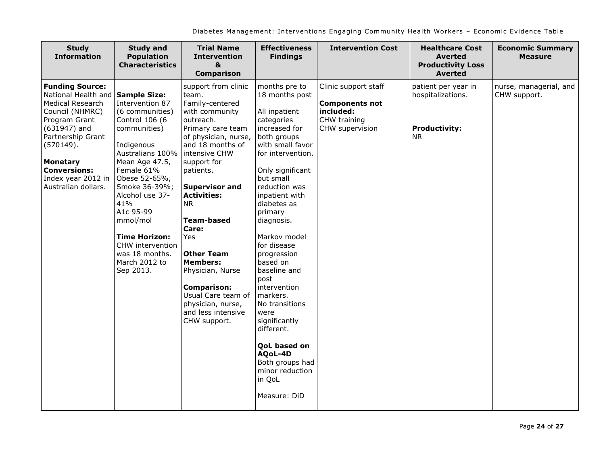| <b>Study</b><br><b>Information</b>                                                                                                                                                                                                                                   | <b>Study and</b><br><b>Population</b><br><b>Characteristics</b>                                                                                                                                                                                                                                                         | <b>Trial Name</b><br><b>Intervention</b><br>&<br><b>Comparison</b>                                                                                                                                                                                                                                                                                                                                                                                               | <b>Effectiveness</b><br><b>Findings</b>                                                                                                                                                                                                                                                                                                                                                                                                                                                                                      | <b>Intervention Cost</b>                                                                      | <b>Healthcare Cost</b><br><b>Averted</b><br><b>Productivity Loss</b><br><b>Averted</b> | <b>Economic Summary</b><br><b>Measure</b> |
|----------------------------------------------------------------------------------------------------------------------------------------------------------------------------------------------------------------------------------------------------------------------|-------------------------------------------------------------------------------------------------------------------------------------------------------------------------------------------------------------------------------------------------------------------------------------------------------------------------|------------------------------------------------------------------------------------------------------------------------------------------------------------------------------------------------------------------------------------------------------------------------------------------------------------------------------------------------------------------------------------------------------------------------------------------------------------------|------------------------------------------------------------------------------------------------------------------------------------------------------------------------------------------------------------------------------------------------------------------------------------------------------------------------------------------------------------------------------------------------------------------------------------------------------------------------------------------------------------------------------|-----------------------------------------------------------------------------------------------|----------------------------------------------------------------------------------------|-------------------------------------------|
| <b>Funding Source:</b><br>National Health and Sample Size:<br><b>Medical Research</b><br>Council (NHMRC)<br>Program Grant<br>$(631947)$ and<br>Partnership Grant<br>(570149).<br><b>Monetary</b><br><b>Conversions:</b><br>Index year 2012 in<br>Australian dollars. | Intervention 87<br>(6 communities)<br>Control 106 (6<br>communities)<br>Indigenous<br>Australians 100%<br>Mean Age 47.5,<br>Female 61%<br>Obese 52-65%,<br>Smoke 36-39%;<br>Alcohol use 37-<br>41%<br>A1c 95-99<br>mmol/mol<br><b>Time Horizon:</b><br>CHW intervention<br>was 18 months.<br>March 2012 to<br>Sep 2013. | support from clinic<br>team.<br>Family-centered<br>with community<br>outreach.<br>Primary care team<br>of physician, nurse,<br>and 18 months of<br>intensive CHW<br>support for<br>patients.<br><b>Supervisor and</b><br><b>Activities:</b><br><b>NR</b><br><b>Team-based</b><br>Care:<br>Yes<br><b>Other Team</b><br><b>Members:</b><br>Physician, Nurse<br><b>Comparison:</b><br>Usual Care team of<br>physician, nurse,<br>and less intensive<br>CHW support. | months pre to<br>18 months post<br>All inpatient<br>categories<br>increased for<br>both groups<br>with small favor<br>for intervention.<br>Only significant<br>but small<br>reduction was<br>inpatient with<br>diabetes as<br>primary<br>diagnosis.<br>Markov model<br>for disease<br>progression<br>based on<br>baseline and<br>post<br>intervention<br>markers.<br>No transitions<br>were<br>significantly<br>different.<br><b>QoL</b> based on<br>AQoL-4D<br>Both groups had<br>minor reduction<br>in QoL<br>Measure: DiD | Clinic support staff<br><b>Components not</b><br>included:<br>CHW training<br>CHW supervision | patient per year in<br>hospitalizations.<br><b>Productivity:</b><br>NR.                | nurse, managerial, and<br>CHW support.    |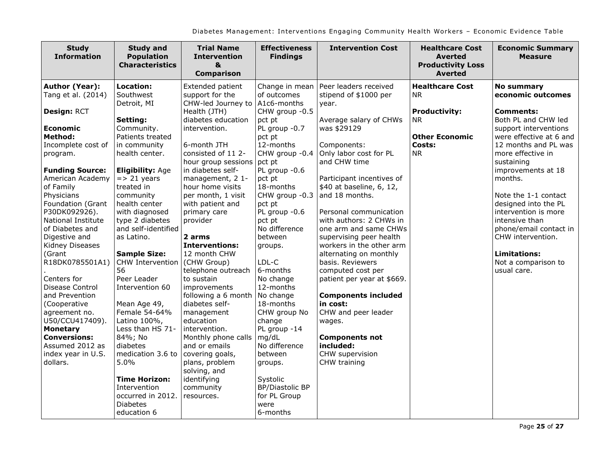| <b>Study</b><br><b>Information</b>                                    | <b>Study and</b><br><b>Population</b><br><b>Characteristics</b>                             | <b>Trial Name</b><br><b>Intervention</b><br>&<br><b>Comparison</b>                      | <b>Effectiveness</b><br><b>Findings</b>                                | <b>Intervention Cost</b>                                                                               | <b>Healthcare Cost</b><br><b>Averted</b><br><b>Productivity Loss</b><br><b>Averted</b> | <b>Economic Summary</b><br><b>Measure</b>                          |
|-----------------------------------------------------------------------|---------------------------------------------------------------------------------------------|-----------------------------------------------------------------------------------------|------------------------------------------------------------------------|--------------------------------------------------------------------------------------------------------|----------------------------------------------------------------------------------------|--------------------------------------------------------------------|
| Author (Year):<br>Tang et al. (2014)                                  | <b>Location:</b><br>Southwest                                                               | Extended patient<br>support for the                                                     | Change in mean<br>of outcomes                                          | Peer leaders received<br>stipend of \$1000 per                                                         | <b>Healthcare Cost</b><br><b>NR</b>                                                    | <b>No summary</b><br>economic outcomes                             |
| Design: RCT<br><b>Economic</b>                                        | Detroit, MI<br>Setting:<br>Community.                                                       | CHW-led Journey to   A1c6-months<br>Health (JTH)<br>diabetes education<br>intervention. | CHW group -0.5<br>pct pt<br>PL group -0.7                              | year.<br>Average salary of CHWs<br>was \$29129                                                         | <b>Productivity:</b><br><b>NR</b>                                                      | <b>Comments:</b><br>Both PL and CHW led<br>support interventions   |
| <b>Method:</b>                                                        | Patients treated                                                                            |                                                                                         | pct pt                                                                 |                                                                                                        | <b>Other Economic</b>                                                                  | were effective at 6 and                                            |
| Incomplete cost of<br>program.                                        | in community<br>health center.                                                              | 6-month JTH<br>consisted of 11 2-<br>hour group sessions                                | 12-months<br>CHW group -0.4<br>pct pt                                  | Components:<br>Only labor cost for PL<br>and CHW time                                                  | Costs:<br><b>NR</b>                                                                    | 12 months and PL was<br>more effective in<br>sustaining            |
| <b>Funding Source:</b><br>American Academy<br>of Family<br>Physicians | <b>Eligibility: Age</b><br>$\Rightarrow$ 21 years<br>treated in<br>community                | in diabetes self-<br>management, 2 1-<br>hour home visits<br>per month, 1 visit         | PL group -0.6<br>pct pt<br>18-months<br>CHW group -0.3                 | Participant incentives of<br>\$40 at baseline, 6, 12,<br>and 18 months.                                |                                                                                        | improvements at 18<br>months.<br>Note the 1-1 contact              |
| Foundation (Grant<br>P30DK092926).<br>National Institute              | health center<br>with diagnosed<br>type 2 diabetes                                          | with patient and<br>primary care<br>provider                                            | pct pt<br>PL group -0.6<br>pct pt                                      | Personal communication<br>with authors: 2 CHWs in                                                      |                                                                                        | designed into the PL<br>intervention is more<br>intensive than     |
| of Diabetes and<br>Digestive and<br>Kidney Diseases<br>(Grant         | and self-identified<br>as Latino.<br><b>Sample Size:</b>                                    | 2 arms<br><b>Interventions:</b><br>12 month CHW                                         | No difference<br>between<br>groups.                                    | one arm and same CHWs<br>supervising peer health<br>workers in the other arm<br>alternating on monthly |                                                                                        | phone/email contact in<br>CHW intervention.<br><b>Limitations:</b> |
| R18DK0785501A1)<br>Centers for                                        | CHW Intervention<br>56<br>Peer Leader                                                       | (CHW Group)<br>telephone outreach<br>to sustain                                         | LDL-C<br>6-months<br>No change                                         | basis. Reviewers<br>computed cost per<br>patient per year at \$669.                                    |                                                                                        | Not a comparison to<br>usual care.                                 |
| Disease Control<br>and Prevention                                     | Intervention 60                                                                             | improvements<br>following a 6 month   No change                                         | 12-months                                                              | <b>Components included</b>                                                                             |                                                                                        |                                                                    |
| (Cooperative<br>agreement no.<br>U50/CCU417409).<br><b>Monetary</b>   | Mean Age 49,<br>Female 54-64%<br>Latino 100%,<br>Less than HS 71-                           | diabetes self-<br>management<br>education<br>intervention.                              | 18-months<br>CHW group No<br>change<br>PL group -14                    | in cost:<br>CHW and peer leader<br>wages.                                                              |                                                                                        |                                                                    |
| <b>Conversions:</b><br>Assumed 2012 as<br>index year in U.S.          | 84%; No<br>diabetes<br>medication 3.6 to                                                    | Monthly phone calls<br>and or emails<br>covering goals,                                 | mg/dL<br>No difference<br>between                                      | <b>Components not</b><br>included:<br>CHW supervision                                                  |                                                                                        |                                                                    |
| dollars.                                                              | $5.0\%$                                                                                     | plans, problem<br>solving, and                                                          | groups.                                                                | CHW training                                                                                           |                                                                                        |                                                                    |
|                                                                       | <b>Time Horizon:</b><br>Intervention<br>occurred in 2012.<br><b>Diabetes</b><br>education 6 | identifying<br>community<br>resources.                                                  | Systolic<br><b>BP/Diastolic BP</b><br>for PL Group<br>were<br>6-months |                                                                                                        |                                                                                        |                                                                    |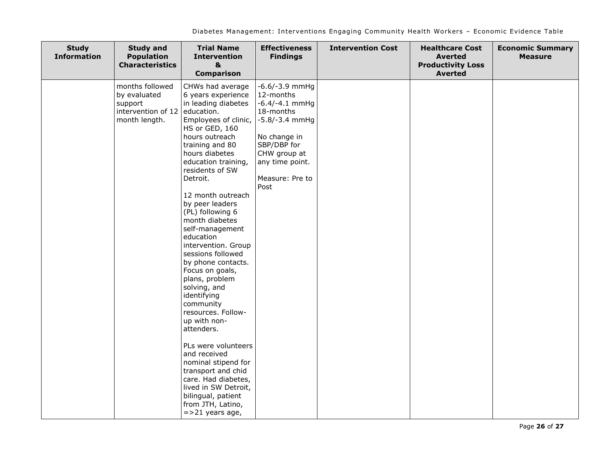| <b>Study</b><br><b>Information</b> | <b>Study and</b><br><b>Population</b><br><b>Characteristics</b>                   | <b>Trial Name</b><br><b>Intervention</b><br>&<br><b>Comparison</b>                                                                                                                                                                                                                                                                                                                                                                                                                                                                                                                                                                                                                                                                                          | <b>Effectiveness</b><br><b>Findings</b>                                                                                                                                         | <b>Intervention Cost</b> | <b>Healthcare Cost</b><br><b>Averted</b><br><b>Productivity Loss</b><br><b>Averted</b> | <b>Economic Summary</b><br><b>Measure</b> |
|------------------------------------|-----------------------------------------------------------------------------------|-------------------------------------------------------------------------------------------------------------------------------------------------------------------------------------------------------------------------------------------------------------------------------------------------------------------------------------------------------------------------------------------------------------------------------------------------------------------------------------------------------------------------------------------------------------------------------------------------------------------------------------------------------------------------------------------------------------------------------------------------------------|---------------------------------------------------------------------------------------------------------------------------------------------------------------------------------|--------------------------|----------------------------------------------------------------------------------------|-------------------------------------------|
|                                    | months followed<br>by evaluated<br>support<br>intervention of 12<br>month length. | CHWs had average<br>6 years experience<br>in leading diabetes<br>education.<br>Employees of clinic,<br>HS or GED, 160<br>hours outreach<br>training and 80<br>hours diabetes<br>education training,<br>residents of SW<br>Detroit.<br>12 month outreach<br>by peer leaders<br>(PL) following 6<br>month diabetes<br>self-management<br>education<br>intervention. Group<br>sessions followed<br>by phone contacts.<br>Focus on goals,<br>plans, problem<br>solving, and<br>identifying<br>community<br>resources. Follow-<br>up with non-<br>attenders.<br>PLs were volunteers<br>and received<br>nominal stipend for<br>transport and chid<br>care. Had diabetes,<br>lived in SW Detroit,<br>bilingual, patient<br>from JTH, Latino,<br>$=$ >21 years age, | $-6.6/-3.9$ mmHg<br>12-months<br>$-6.4/-4.1$ mmHg<br>18-months<br>$-5.8/-3.4$ mmHg<br>No change in<br>SBP/DBP for<br>CHW group at<br>any time point.<br>Measure: Pre to<br>Post |                          |                                                                                        |                                           |